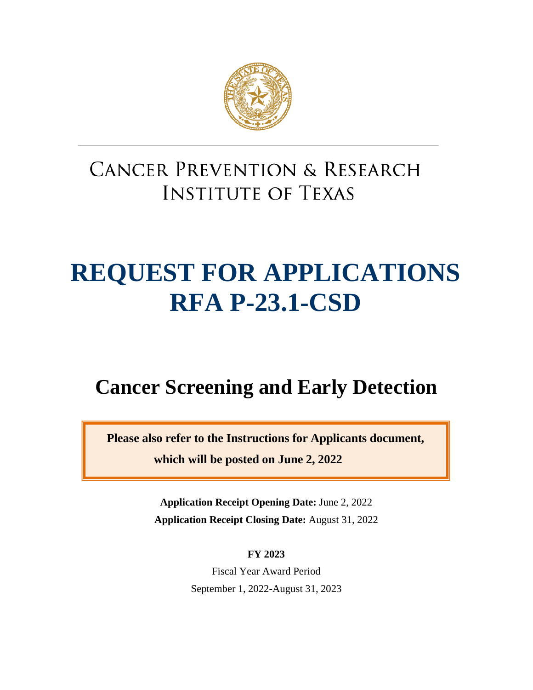

## **CANCER PREVENTION & RESEARCH INSTITUTE OF TEXAS**

# **REQUEST FOR APPLICATIONS RFA P-23.1-CSD**

## **Cancer Screening and Early Detection**

**Please also refer to the Instructions for Applicants document, which will be posted on June 2, 2022**

> **Application Receipt Opening Date:** June 2, 2022 **Application Receipt Closing Date:** August 31, 2022

> > **FY 2023**

Fiscal Year Award Period September 1, 2022-August 31, 2023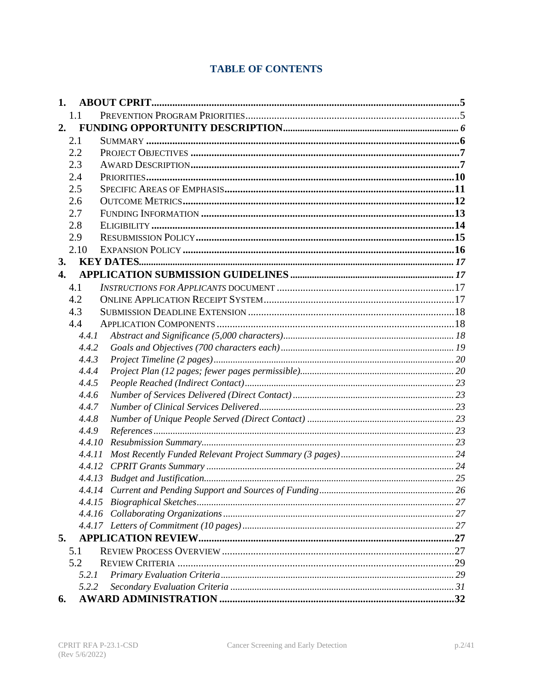## **TABLE OF CONTENTS**

| 1.               |        |  |
|------------------|--------|--|
| 1.1              |        |  |
| 2.               |        |  |
| 2.1              |        |  |
| 2.2              |        |  |
| 2.3              |        |  |
| 2.4              |        |  |
| 2.5              |        |  |
| 2.6              |        |  |
| 2.7              |        |  |
| 2.8              |        |  |
| 2.9              |        |  |
| 2.10             |        |  |
| 3.               |        |  |
| $\overline{4}$ . |        |  |
| 4.1              |        |  |
| 4.2              |        |  |
| 4.3              |        |  |
| 4.4              |        |  |
|                  | 4.4.1  |  |
|                  | 4.4.2  |  |
|                  | 4.4.3  |  |
|                  | 4.4.4  |  |
|                  | 4.4.5  |  |
|                  | 4.4.6  |  |
|                  | 4.4.7  |  |
|                  | 4.4.8  |  |
|                  | 4.4.9  |  |
|                  | 4.4.10 |  |
|                  | 4.4.11 |  |
|                  | 4.4.12 |  |
|                  | 4.4.13 |  |
|                  |        |  |
|                  |        |  |
|                  |        |  |
| 5.               |        |  |
|                  |        |  |
| 5.1<br>5.2       |        |  |
|                  | 5.2.1  |  |
|                  | 5.2.2  |  |
| 6.               |        |  |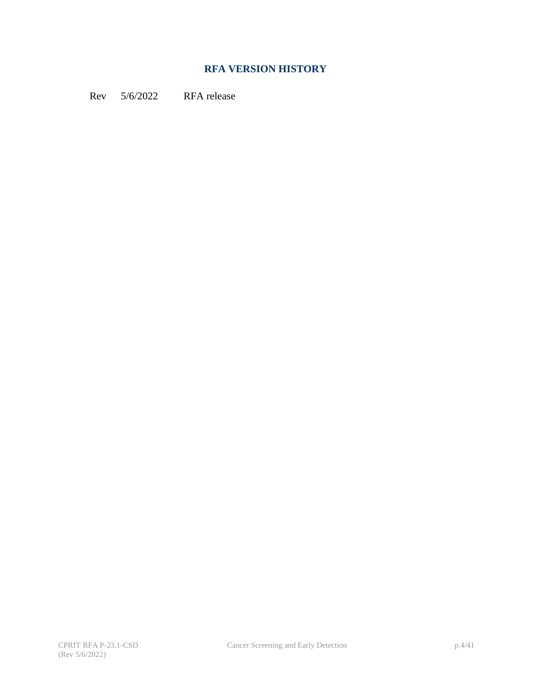## **RFA VERSION HISTORY**

Rev 5/6/2022 RFA release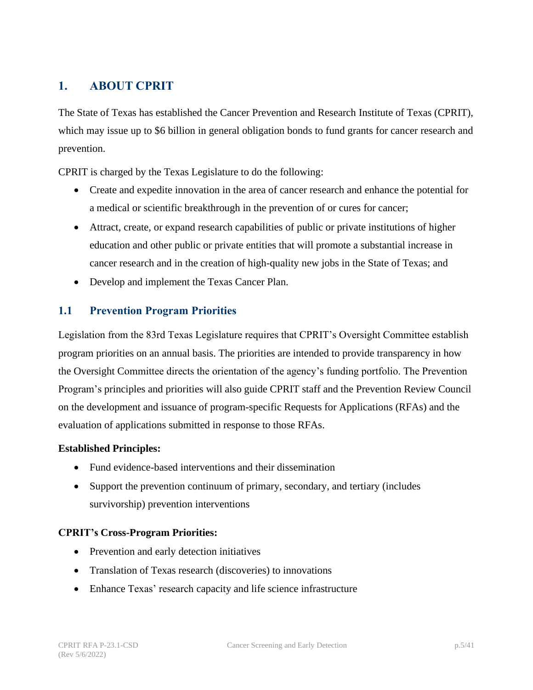## <span id="page-4-0"></span>**1. ABOUT CPRIT**

The State of Texas has established the Cancer Prevention and Research Institute of Texas (CPRIT), which may issue up to \$6 billion in general obligation bonds to fund grants for cancer research and prevention.

CPRIT is charged by the Texas Legislature to do the following:

- Create and expedite innovation in the area of cancer research and enhance the potential for a medical or scientific breakthrough in the prevention of or cures for cancer;
- Attract, create, or expand research capabilities of public or private institutions of higher education and other public or private entities that will promote a substantial increase in cancer research and in the creation of high-quality new jobs in the State of Texas; and
- Develop and implement the Texas Cancer Plan.

#### <span id="page-4-1"></span>**1.1 Prevention Program Priorities**

Legislation from the 83rd Texas Legislature requires that CPRIT's Oversight Committee establish program priorities on an annual basis. The priorities are intended to provide transparency in how the Oversight Committee directs the orientation of the agency's funding portfolio. The Prevention Program's principles and priorities will also guide CPRIT staff and the Prevention Review Council on the development and issuance of program-specific Requests for Applications (RFAs) and the evaluation of applications submitted in response to those RFAs.

#### **Established Principles:**

- Fund evidence-based interventions and their dissemination
- Support the prevention continuum of primary, secondary, and tertiary (includes survivorship) prevention interventions

#### **CPRIT's Cross-Program Priorities:**

- Prevention and early detection initiatives
- Translation of Texas research (discoveries) to innovations
- Enhance Texas' research capacity and life science infrastructure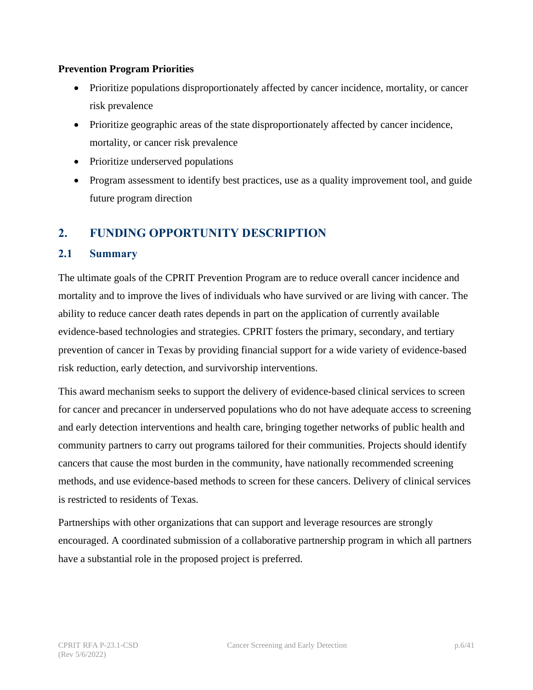#### **Prevention Program Priorities**

- Prioritize populations disproportionately affected by cancer incidence, mortality, or cancer risk prevalence
- Prioritize geographic areas of the state disproportionately affected by cancer incidence, mortality, or cancer risk prevalence
- Prioritize underserved populations
- Program assessment to identify best practices, use as a quality improvement tool, and guide future program direction

## <span id="page-5-0"></span>**2. FUNDING OPPORTUNITY DESCRIPTION**

#### <span id="page-5-1"></span>**2.1 Summary**

The ultimate goals of the CPRIT Prevention Program are to reduce overall cancer incidence and mortality and to improve the lives of individuals who have survived or are living with cancer. The ability to reduce cancer death rates depends in part on the application of currently available evidence-based technologies and strategies. CPRIT fosters the primary, secondary, and tertiary prevention of cancer in Texas by providing financial support for a wide variety of evidence-based risk reduction, early detection, and survivorship interventions.

This award mechanism seeks to support the delivery of evidence-based clinical services to screen for cancer and precancer in underserved populations who do not have adequate access to screening and early detection interventions and health care, bringing together networks of public health and community partners to carry out programs tailored for their communities. Projects should identify cancers that cause the most burden in the community, have nationally recommended screening methods, and use evidence-based methods to screen for these cancers. Delivery of clinical services is restricted to residents of Texas.

Partnerships with other organizations that can support and leverage resources are strongly encouraged. A coordinated submission of a collaborative partnership program in which all partners have a substantial role in the proposed project is preferred.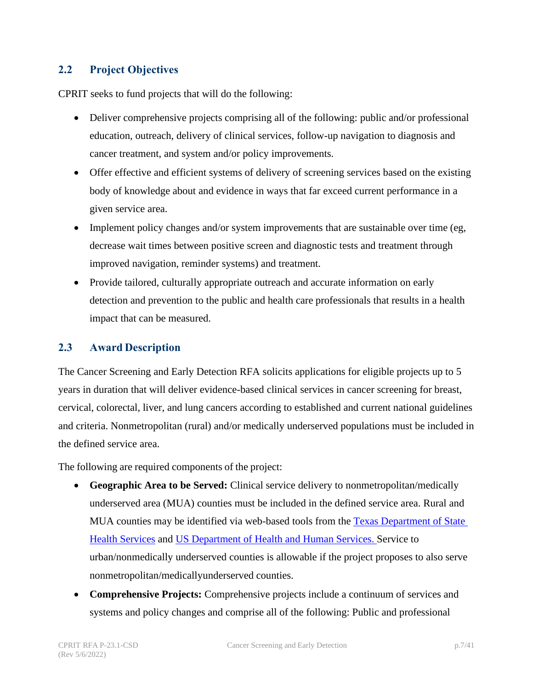#### <span id="page-6-0"></span>**2.2 Project Objectives**

CPRIT seeks to fund projects that will do the following:

- Deliver comprehensive projects comprising all of the following: public and/or professional education, outreach, delivery of clinical services, follow-up navigation to diagnosis and cancer treatment, and system and/or policy improvements.
- Offer effective and efficient systems of delivery of screening services based on the existing body of knowledge about and evidence in ways that far exceed current performance in a given service area.
- Implement policy changes and/or system improvements that are sustainable over time (eg, decrease wait times between positive screen and diagnostic tests and treatment through improved navigation, reminder systems) and treatment.
- Provide tailored, culturally appropriate outreach and accurate information on early detection and prevention to the public and health care professionals that results in a health impact that can be measured.

#### <span id="page-6-1"></span>**2.3 Award Description**

The Cancer Screening and Early Detection RFA solicits applications for eligible projects up to 5 years in duration that will deliver evidence-based clinical services in cancer screening for breast, cervical, colorectal, liver, and lung cancers according to established and current national guidelines and criteria. Nonmetropolitan (rural) and/or medically underserved populations must be included in the defined service area.

The following are required components of the project:

- **Geographic Area to be Served:** Clinical service delivery to nonmetropolitan/medically underserved area (MUA) counties must be included in the defined service area. Rural and MUA counties may be identified via web-based tools from the [Texas Department of State](https://healthdata.dshs.texas.gov/dashboard/surveys-and-profiles/hfp-2014-2015)  [Health](https://healthdata.dshs.texas.gov/dashboard/surveys-and-profiles/hfp-2014-2015) [Services](http://healthdata.dshs.texas.gov/HealthFactsProfiles) and US Department of [Health and Human Services.](https://data.hrsa.gov/tools/shortage-area/mua-find) Service to urban/nonmedically underserved counties is allowable if the project proposes to also serve nonmetropolitan/medicallyunderserved counties.
- **Comprehensive Projects:** Comprehensive projects include a continuum of services and systems and policy changes and comprise all of the following: Public and professional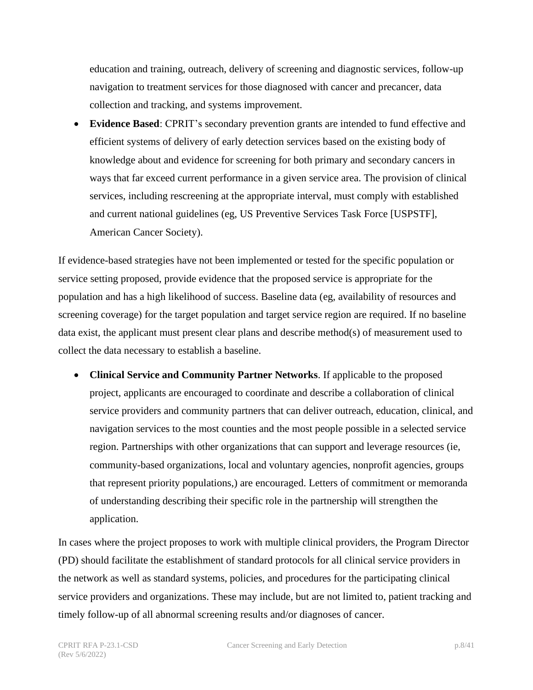education and training, outreach, delivery of screening and diagnostic services, follow-up navigation to treatment services for those diagnosed with cancer and precancer, data collection and tracking, and systems improvement.

• **Evidence Based**: CPRIT's secondary prevention grants are intended to fund effective and efficient systems of delivery of early detection services based on the existing body of knowledge about and evidence for screening for both primary and secondary cancers in ways that far exceed current performance in a given service area. The provision of clinical services, including rescreening at the appropriate interval, must comply with established and current national guidelines (eg, US Preventive Services Task Force [USPSTF], American Cancer Society).

If evidence-based strategies have not been implemented or tested for the specific population or service setting proposed, provide evidence that the proposed service is appropriate for the population and has a high likelihood of success. Baseline data (eg, availability of resources and screening coverage) for the target population and target service region are required. If no baseline data exist, the applicant must present clear plans and describe method(s) of measurement used to collect the data necessary to establish a baseline.

• **Clinical Service and Community Partner Networks**. If applicable to the proposed project, applicants are encouraged to coordinate and describe a collaboration of clinical service providers and community partners that can deliver outreach, education, clinical, and navigation services to the most counties and the most people possible in a selected service region. Partnerships with other organizations that can support and leverage resources (ie, community-based organizations, local and voluntary agencies, nonprofit agencies, groups that represent priority populations,) are encouraged. Letters of commitment or memoranda of understanding describing their specific role in the partnership will strengthen the application.

In cases where the project proposes to work with multiple clinical providers, the Program Director (PD) should facilitate the establishment of standard protocols for all clinical service providers in the network as well as standard systems, policies, and procedures for the participating clinical service providers and organizations. These may include, but are not limited to, patient tracking and timely follow-up of all abnormal screening results and/or diagnoses of cancer.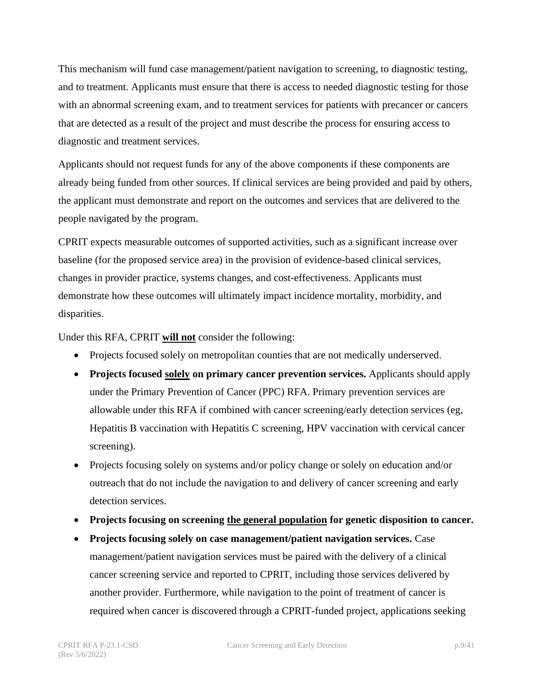This mechanism will fund case management/patient navigation to screening, to diagnostic testing, and to treatment. Applicants must ensure that there is access to needed diagnostic testing for those with an abnormal screening exam, and to treatment services for patients with precancer or cancers that are detected as a result of the project and must describe the process for ensuring access to diagnostic and treatment services.

Applicants should not request funds for any of the above components if these components are already being funded from other sources. If clinical services are being provided and paid by others, the applicant must demonstrate and report on the outcomes and services that are delivered to the people navigated by the program.

CPRIT expects measurable outcomes of supported activities, such as a significant increase over baseline (for the proposed service area) in the provision of evidence-based clinical services, changes in provider practice, systems changes, and cost-effectiveness. Applicants must demonstrate how these outcomes will ultimately impact incidence mortality, morbidity, and disparities.

Under this RFA, CPRIT **will not** consider the following:

- Projects focused solely on metropolitan counties that are not medically underserved.
- **Projects focused solely on primary cancer prevention services.** Applicants should apply under the Primary Prevention of Cancer (PPC) RFA. Primary prevention services are allowable under this RFA if combined with cancer screening/early detection services (eg, Hepatitis B vaccination with Hepatitis C screening, HPV vaccination with cervical cancer screening).
- Projects focusing solely on systems and/or policy change or solely on education and/or outreach that do not include the navigation to and delivery of cancer screening and early detection services.
- **Projects focusing on screening the general population for genetic disposition to cancer.**
- **Projects focusing solely on case management/patient navigation services.** Case management/patient navigation services must be paired with the delivery of a clinical cancer screening service and reported to CPRIT, including those services delivered by another provider. Furthermore, while navigation to the point of treatment of cancer is required when cancer is discovered through a CPRIT-funded project, applications seeking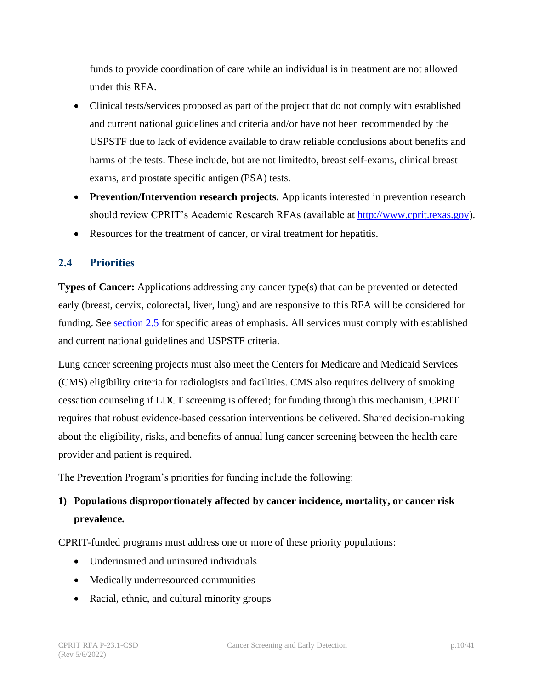funds to provide coordination of care while an individual is in treatment are not allowed under this RFA.

- Clinical tests/services proposed as part of the project that do not comply with established and current national guidelines and criteria and/or have not been recommended by the USPSTF due to lack of evidence available to draw reliable conclusions about benefits and harms of the tests. These include, but are not limitedto, breast self-exams, clinical breast exams, and prostate specific antigen (PSA) tests.
- **Prevention/Intervention research projects.** Applicants interested in prevention research should review CPRIT's Academic Research RFAs (available at [http://www.cprit.texas.gov\)](http://www.cprit.texas.gov/).
- Resources for the treatment of cancer, or viral treatment for hepatitis.

## <span id="page-9-0"></span>**2.4 Priorities**

**Types of Cancer:** Applications addressing any cancer type(s) that can be prevented or detected early (breast, cervix, colorectal, liver, lung) and are responsive to this RFA will be considered for funding. See [section 2.5](#page-10-0) for specific areas of emphasis. All services must comply with established and current national guidelines and USPSTF criteria.

Lung cancer screening projects must also meet the Centers for Medicare and Medicaid Services (CMS) eligibility criteria for radiologists and facilities. CMS also requires delivery of smoking cessation counseling if LDCT screening is offered; for funding through this mechanism, CPRIT requires that robust evidence-based cessation interventions be delivered. Shared decision-making about the eligibility, risks, and benefits of annual lung cancer screening between the health care provider and patient is required.

The Prevention Program's priorities for funding include the following:

## **1) Populations disproportionately affected by cancer incidence, mortality, or cancer risk prevalence.**

CPRIT-funded programs must address one or more of these priority populations:

- Underinsured and uninsured individuals
- Medically underresourced communities
- Racial, ethnic, and cultural minority groups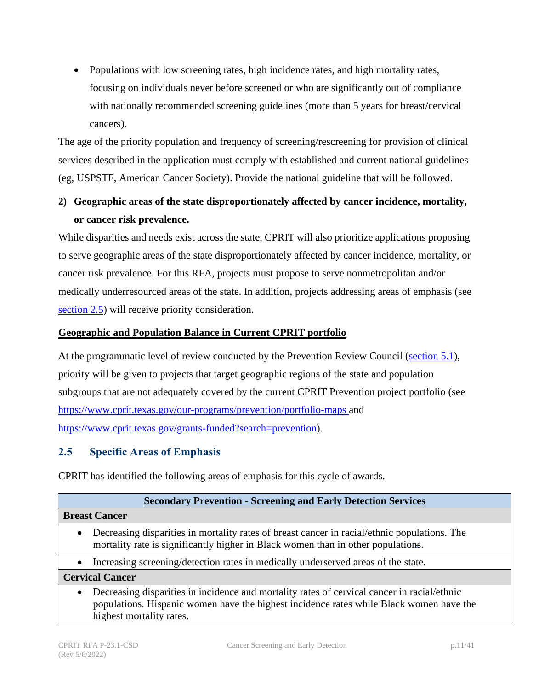• Populations with low screening rates, high incidence rates, and high mortality rates, focusing on individuals never before screened or who are significantly out of compliance with nationally recommended screening guidelines (more than 5 years for breast/cervical cancers).

The age of the priority population and frequency of screening/rescreening for provision of clinical services described in the application must comply with established and current national guidelines (eg, USPSTF, American Cancer Society). Provide the national guideline that will be followed.

## **2) Geographic areas of the state disproportionately affected by cancer incidence, mortality, or cancer risk prevalence.**

While disparities and needs exist across the state, CPRIT will also prioritize applications proposing to serve geographic areas of the state disproportionately affected by cancer incidence, mortality, or cancer risk prevalence. For this RFA, projects must propose to serve nonmetropolitan and/or medically underresourced areas of the state. In addition, projects addressing areas of emphasis (see [section 2.5\)](#page-10-0) will receive priority consideration.

#### **Geographic and Population Balance in Current CPRIT portfolio**

At the programmatic level of review conducted by the Prevention Review Council [\(section 5.1](#page-26-4)), priority will be given to projects that target geographic regions of the state and population subgroups that are not adequately covered by the current CPRIT Prevention project portfolio (see [https://www.cprit.texas.gov/our-programs/prevention/portfolio-maps a](https://www.cprit.texas.gov/our-programs/prevention/portfolio-maps)nd [https://www.cprit.texas.gov/grants-funded?search=prevention\)](https://www.cprit.texas.gov/grants-funded?search=prevention).

#### <span id="page-10-0"></span>**2.5 Specific Areas of Emphasis**

CPRIT has identified the following areas of emphasis for this cycle of awards.

| <b>Secondary Prevention - Screening and Early Detection Services</b>                                                                                                                                |  |  |
|-----------------------------------------------------------------------------------------------------------------------------------------------------------------------------------------------------|--|--|
| <b>Breast Cancer</b>                                                                                                                                                                                |  |  |
| Decreasing disparities in mortality rates of breast cancer in racial/ethnic populations. The<br>$\bullet$<br>mortality rate is significantly higher in Black women than in other populations.       |  |  |
| Increasing screening/detection rates in medically underserved areas of the state.<br>$\bullet$                                                                                                      |  |  |
| <b>Cervical Cancer</b>                                                                                                                                                                              |  |  |
| Decreasing disparities in incidence and mortality rates of cervical cancer in racial/ethnic<br>$\bullet$<br>populations. Hispanic women have the highest incidence rates while Black women have the |  |  |

highest mortality rates.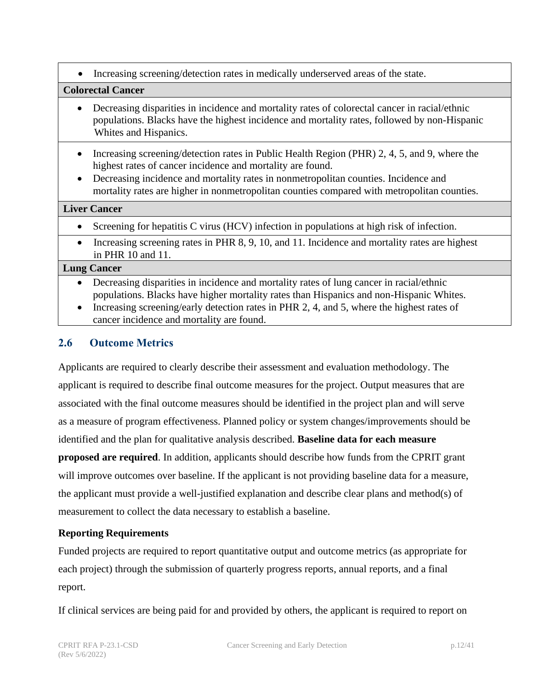• Increasing screening/detection rates in medically underserved areas of the stat[e.](#page-34-1)

#### **Colorectal Cancer**

- Decreasing disparities in incidence and mortality rates of colorectal cancer in racial/ethnic populations. Blacks have the highest incidence and mortality rates, followed by non-Hispanic Whites and Hispanics.
- Increasing screening/detection rates in Public Health Region (PHR) 2, 4, 5, and 9, where the highest rates of cancer incidence and mortality are found.
- Decreasing incidence and mortality rates in nonmetropolitan counties. Incidence and mortality rates are higher in nonmetropolitan counties compared with metropolitan counties.

#### **Liver Cancer**

- Screening for hepatitis C virus (HCV) infection in populations at high risk of infection.
- Increasing screening rates in PHR 8, 9, 10, and 11. Incidence and mortality rates are highest in PHR 10 and 1[1.](#page-34-1)

#### **Lung Cancer**

- Decreasing disparities in incidence and mortality rates of lung cancer in racial/ethnic populations. Blacks have higher mortality rates than Hispanics and non-Hispanic Whites.
- Increasing screening/early detection rates in PHR 2, 4, and 5, where the highest rates of cancer incidence and mortality are found.

## <span id="page-11-0"></span>**2.6 Outcome Metrics**

Applicants are required to clearly describe their assessment and evaluation methodology. The applicant is required to describe final outcome measures for the project. Output measures that are associated with the final outcome measures should be identified in the project plan and will serve as a measure of program effectiveness. Planned policy or system changes/improvements should be identified and the plan for qualitative analysis described. **Baseline data for each measure proposed are required**. In addition, applicants should describe how funds from the CPRIT grant will improve outcomes over baseline. If the applicant is not providing baseline data for a measure, the applicant must provide a well-justified explanation and describe clear plans and method(s) of measurement to collect the data necessary to establish a baseline.

#### **Reporting Requirements**

Funded projects are required to report quantitative output and outcome metrics (as appropriate for each project) through the submission of quarterly progress reports, annual reports, and a final report.

If clinical services are being paid for and provided by others, the applicant is required to report on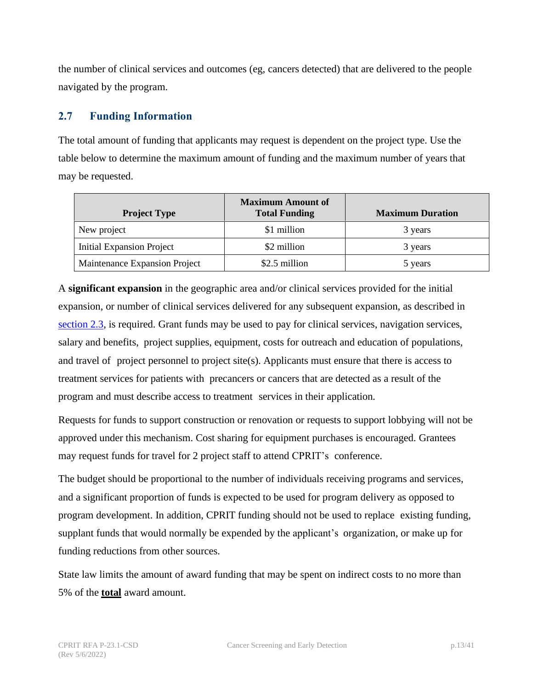the number of clinical services and outcomes (eg, cancers detected) that are delivered to the people navigated by the program.

## <span id="page-12-1"></span><span id="page-12-0"></span>**2.7 Funding Information**

The total amount of funding that applicants may request is dependent on the project type. Use the table below to determine the maximum amount of funding and the maximum number of years that may be requested.

| <b>Project Type</b>              | <b>Maximum Amount of</b><br><b>Total Funding</b> | <b>Maximum Duration</b> |
|----------------------------------|--------------------------------------------------|-------------------------|
| New project                      | \$1 million                                      | 3 years                 |
| <b>Initial Expansion Project</b> | \$2 million                                      | 3 years                 |
| Maintenance Expansion Project    | \$2.5 million                                    | 5 years                 |

A **significant expansion** in the geographic area and/or clinical services provided for the initial expansion, or number of clinical services delivered for any subsequent expansion, as described in [section 2.3,](#page-6-1) is required. Grant funds may be used to pay for clinical services, navigation services, salary and benefits, project supplies, equipment, costs for outreach and education of populations, and travel of project personnel to project site(s). Applicants must ensure that there is access to treatment services for patients with precancers or cancers that are detected as a result of the program and must describe access to treatment services in their application.

Requests for funds to support construction or renovation or requests to support lobbying will not be approved under this mechanism. Cost sharing for equipment purchases is encouraged. Grantees may request funds for travel for 2 project staff to attend CPRIT's conference.

The budget should be proportional to the number of individuals receiving programs and services, and a significant proportion of funds is expected to be used for program delivery as opposed to program development. In addition, CPRIT funding should not be used to replace existing funding, supplant funds that would normally be expended by the applicant's organization, or make up for funding reductions from other sources.

State law limits the amount of award funding that may be spent on indirect costs to no more than 5% of the **total** award amount.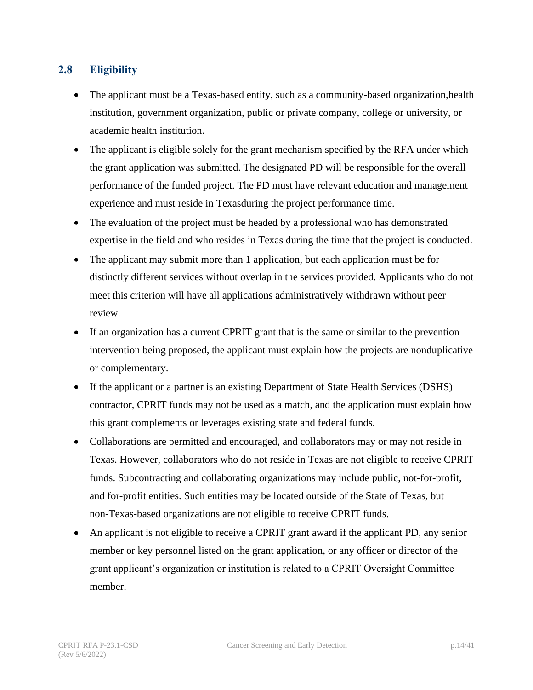## <span id="page-13-0"></span>**2.8 Eligibility**

- The applicant must be a Texas-based entity, such as a community-based organization, health institution, government organization, public or private company, college or university, or academic health institution.
- The applicant is eligible solely for the grant mechanism specified by the RFA under which the grant application was submitted. The designated PD will be responsible for the overall performance of the funded project. The PD must have relevant education and management experience and must reside in Texasduring the project performance time.
- The evaluation of the project must be headed by a professional who has demonstrated expertise in the field and who resides in Texas during the time that the project is conducted.
- The applicant may submit more than 1 application, but each application must be for distinctly different services without overlap in the services provided. Applicants who do not meet this criterion will have all applications administratively withdrawn without peer review.
- If an organization has a current CPRIT grant that is the same or similar to the prevention intervention being proposed, the applicant must explain how the projects are nonduplicative or complementary.
- If the applicant or a partner is an existing Department of State Health Services (DSHS) contractor, CPRIT funds may not be used as a match, and the application must explain how this grant complements or leverages existing state and federal funds.
- Collaborations are permitted and encouraged, and collaborators may or may not reside in Texas. However, collaborators who do not reside in Texas are not eligible to receive CPRIT funds. Subcontracting and collaborating organizations may include public, not-for-profit, and for-profit entities. Such entities may be located outside of the State of Texas, but non-Texas-based organizations are not eligible to receive CPRIT funds.
- An applicant is not eligible to receive a CPRIT grant award if the applicant PD, any senior member or key personnel listed on the grant application, or any officer or director of the grant applicant's organization or institution is related to a CPRIT Oversight Committee member.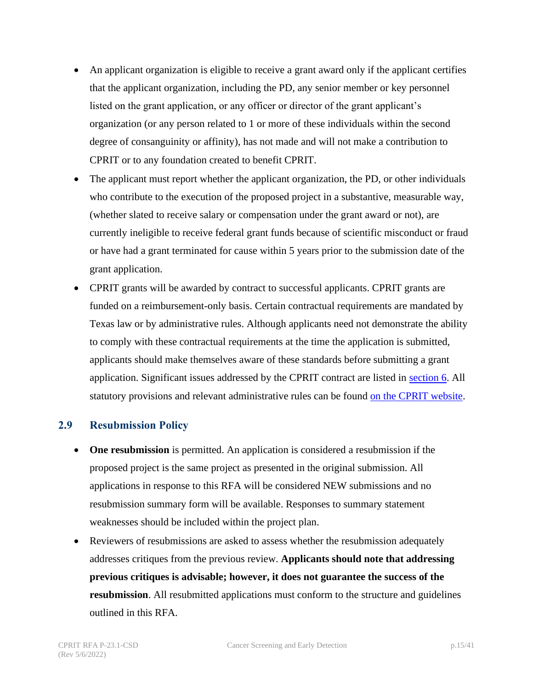- An applicant organization is eligible to receive a grant award only if the applicant certifies that the applicant organization, including the PD, any senior member or key personnel listed on the grant application, or any officer or director of the grant applicant's organization (or any person related to 1 or more of these individuals within the second degree of consanguinity or affinity), has not made and will not make a contribution to CPRIT or to any foundation created to benefit CPRIT.
- The applicant must report whether the applicant organization, the PD, or other individuals who contribute to the execution of the proposed project in a substantive, measurable way, (whether slated to receive salary or compensation under the grant award or not), are currently ineligible to receive federal grant funds because of scientific misconduct or fraud or have had a grant terminated for cause within 5 years prior to the submission date of the grant application.
- CPRIT grants will be awarded by contract to successful applicants. CPRIT grants are funded on a reimbursement-only basis. Certain contractual requirements are mandated by Texas law or by administrative rules. Although applicants need not demonstrate the ability to comply with these contractual requirements at the time the application is submitted, applicants should make themselves aware of these standards before submitting a grant application. Significant issues addressed by the CPRIT contract are listed in [section 6.](#page-31-0) All statutory provisions and relevant administrative rules can be found on the CPRIT [website.](https://www.cprit.texas.gov/about-us/statute-rules-and-grant-policies-guide/)

#### <span id="page-14-0"></span>**2.9 Resubmission Policy**

- **One resubmission** is permitted. An application is considered a resubmission if the proposed project is the same project as presented in the original submission. All applications in response to this RFA will be considered NEW submissions and no resubmission summary form will be available. Responses to summary statement weaknesses should be included within the project plan.
- Reviewers of resubmissions are asked to assess whether the resubmission adequately addresses critiques from the previous review. **Applicants should note that addressing previous critiques is advisable; however, it does not guarantee the success of the resubmission**. All resubmitted applications must conform to the structure and guidelines outlined in this RFA.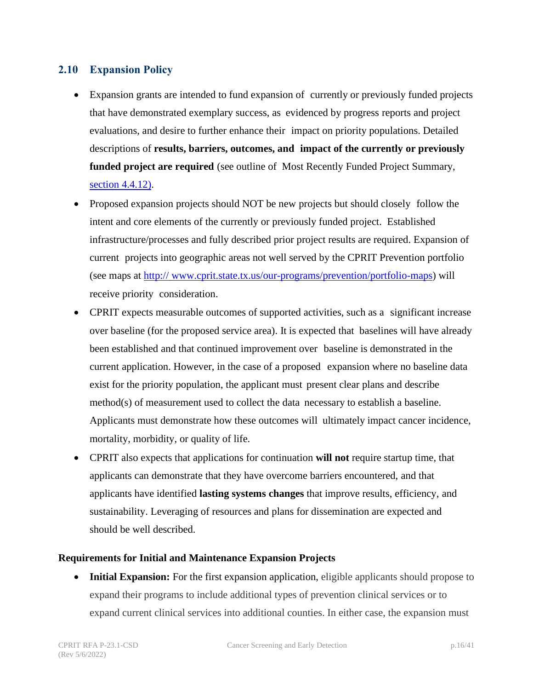#### <span id="page-15-0"></span>**2.10 Expansion Policy**

- Expansion grants are intended to fund expansion of currently or previously funded projects that have demonstrated exemplary success, as evidenced by progress reports and project evaluations, and desire to further enhance their impact on priority populations. Detailed descriptions of **results, barriers, outcomes, and impact of the currently or previously funded project are required** (see outline of Most Recently Funded Project Summary, [section 4.4.12\).](#page-23-1)
- Proposed expansion projects should NOT be new projects but should closely follow the intent and core elements of the currently or previously funded project. Established infrastructure/processes and fully described prior project results are required. Expansion of current projects into geographic areas not well served by the CPRIT Prevention portfolio (see maps at http:// [www.cprit.state.tx.us/our-programs/prevention/portfolio-maps\)](https://www.cprit.state.tx.us/our-programs/prevention/portfolio-maps) will receive priority consideration.
- CPRIT expects measurable outcomes of supported activities, such as a significant increase over baseline (for the proposed service area). It is expected that baselines will have already been established and that continued improvement over baseline is demonstrated in the current application. However, in the case of a proposed expansion where no baseline data exist for the priority population, the applicant must present clear plans and describe method(s) of measurement used to collect the data necessary to establish a baseline. Applicants must demonstrate how these outcomes will ultimately impact cancer incidence, mortality, morbidity, or quality of life.
- CPRIT also expects that applications for continuation **will not** require startup time, that applicants can demonstrate that they have overcome barriers encountered, and that applicants have identified **lasting systems changes** that improve results, efficiency, and sustainability. Leveraging of resources and plans for dissemination are expected and should be well described.

#### **Requirements for Initial and Maintenance Expansion Projects**

**Initial Expansion:** For the first expansion application, eligible applicants should propose to expand their programs to include additional types of prevention clinical services or to expand current clinical services into additional counties. In either case, the expansion must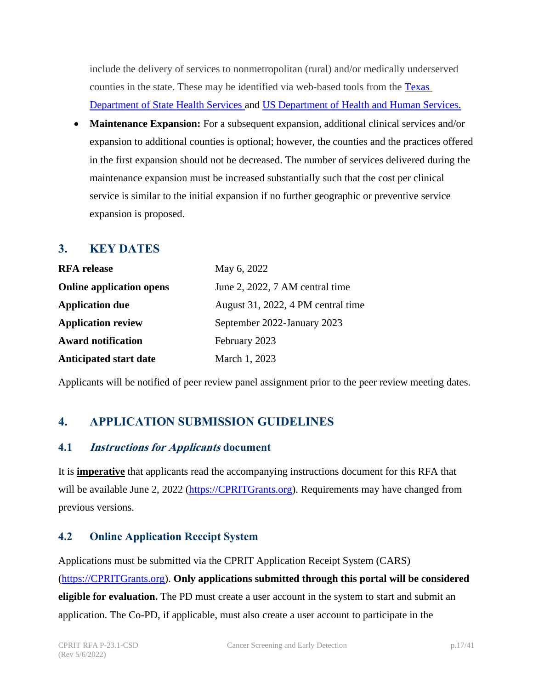include the delivery of services to nonmetropolitan (rural) and/or medically underserved counties in the state. These may be identified via web-based tools from the [Texas](https://healthdata.dshs.texas.gov/dashboard/surveys-and-profiles/hfp-2014-2015)  [Department of State Health Services](https://healthdata.dshs.texas.gov/dashboard/surveys-and-profiles/hfp-2014-2015) and [US Department of Health and Human Services.](https://data.hrsa.gov/tools/shortage-area/mua-find)

• **Maintenance Expansion:** For a subsequent expansion, additional clinical services and/or expansion to additional counties is optional; however, the counties and the practices offered in the first expansion should not be decreased. The number of services delivered during the maintenance expansion must be increased substantially such that the cost per clinical service is similar to the initial expansion if no further geographic or preventive service expansion is proposed.

## <span id="page-16-0"></span>**3. KEY DATES**

| <b>RFA</b> release              | May 6, 2022                        |
|---------------------------------|------------------------------------|
| <b>Online application opens</b> | June 2, 2022, 7 AM central time    |
| <b>Application due</b>          | August 31, 2022, 4 PM central time |
| <b>Application review</b>       | September 2022-January 2023        |
| <b>Award notification</b>       | February 2023                      |
| <b>Anticipated start date</b>   | March 1, 2023                      |

Applicants will be notified of peer review panel assignment prior to the peer review meeting dates.

## <span id="page-16-1"></span>**4. APPLICATION SUBMISSION GUIDELINES**

#### <span id="page-16-2"></span>**4.1 Instructions for Applicants document**

It is **imperative** that applicants read the accompanying instructions document for this RFA that will be available June 2, 2022 [\(https://CPRITGrants.org\)](https://cpritgrants.org/). Requirements may have changed from previous versions.

#### <span id="page-16-3"></span>**4.2 Online Application Receipt System**

Applications must be submitted via the CPRIT Application Receipt System (CARS) [\(https://CPRITGrants.org\)](https://cpritgrants.org/). **Only applications submitted through this portal will be considered eligible for evaluation.** The PD must create a user account in the system to start and submit an application. The Co-PD, if applicable, must also create a user account to participate in the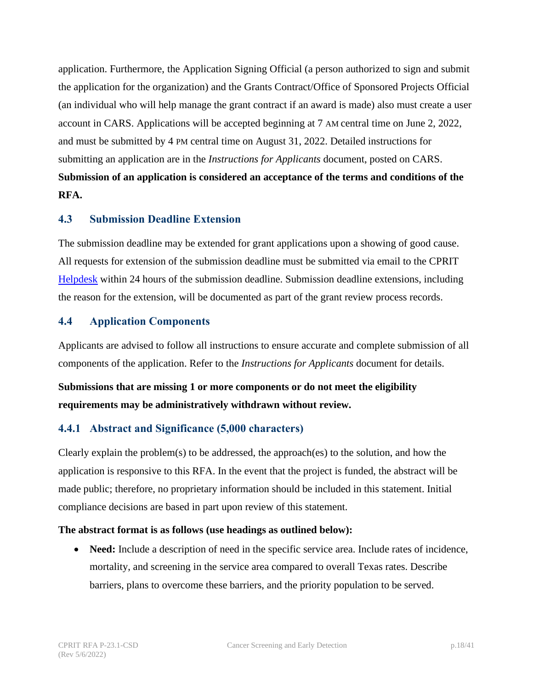application. Furthermore, the Application Signing Official (a person authorized to sign and submit the application for the organization) and the Grants Contract/Office of Sponsored Projects Official (an individual who will help manage the grant contract if an award is made) also must create a user account in CARS. Applications will be accepted beginning at 7 AM central time on June 2, 2022, and must be submitted by 4 PM central time on August 31, 2022. Detailed instructions for submitting an application are in the *Instructions for Applicants* document, posted on CARS. **Submission of an application is considered an acceptance of the terms and conditions of the RFA.**

#### <span id="page-17-0"></span>**4.3 Submission Deadline Extension**

The submission deadline may be extended for grant applications upon a showing of good cause. All requests for extension of the submission deadline must be submitted via email to the CPRIT [Helpdesk](#page-32-1) within 24 hours of the submission deadline. Submission deadline extensions, including the reason for the extension, will be documented as part of the grant review process records.

#### <span id="page-17-1"></span>**4.4 Application Components**

Applicants are advised to follow all instructions to ensure accurate and complete submission of all components of the application. Refer to the *Instructions for Applicants* document for details.

**Submissions that are missing 1 or more components or do not meet the eligibility requirements may be administratively withdrawn without review.**

#### <span id="page-17-2"></span>**4.4.1 Abstract and Significance (5,000 characters)**

Clearly explain the problem(s) to be addressed, the approach(es) to the solution, and how the application is responsive to this RFA. In the event that the project is funded, the abstract will be made public; therefore, no proprietary information should be included in this statement. Initial compliance decisions are based in part upon review of this statement.

#### **The abstract format is as follows (use headings as outlined below):**

• **Need:** Include a description of need in the specific service area. Include rates of incidence, mortality, and screening in the service area compared to overall Texas rates. Describe barriers, plans to overcome these barriers, and the priority population to be served.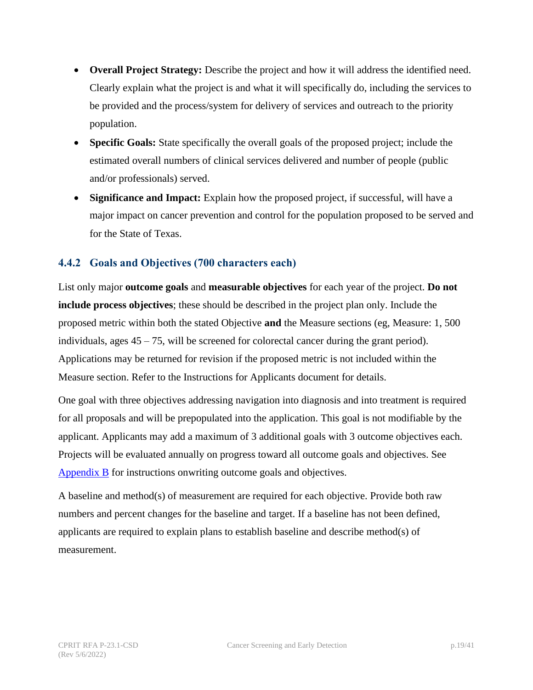- **Overall Project Strategy:** Describe the project and how it will address the identified need. Clearly explain what the project is and what it will specifically do, including the services to be provided and the process/system for delivery of services and outreach to the priority population.
- **Specific Goals:** State specifically the overall goals of the proposed project; include the estimated overall numbers of clinical services delivered and number of people (public and/or professionals) served.
- **Significance and Impact:** Explain how the proposed project, if successful, will have a major impact on cancer prevention and control for the population proposed to be served and for the State of Texas.

## <span id="page-18-0"></span>**4.4.2 Goals and Objectives (700 characters each)**

List only major **outcome goals** and **measurable objectives** for each year of the project. **Do not include process objectives**; these should be described in the project plan only. Include the proposed metric within both the stated Objective **and** the Measure sections (eg, Measure: 1, 500 individuals, ages 45 – 75, will be screened for colorectal cancer during the grant period). Applications may be returned for revision if the proposed metric is not included within the Measure section. Refer to the Instructions for Applicants document for details.

One goal with three objectives addressing navigation into diagnosis and into treatment is required for all proposals and will be prepopulated into the application. This goal is not modifiable by the applicant. Applicants may add a maximum of 3 additional goals with 3 outcome objectives each. Projects will be evaluated annually on progress toward all outcome goals and objectives. See [Appendix B](#page-38-0) for instructions onwriting outcome goals and objectives.

A baseline and method(s) of measurement are required for each objective. Provide both raw numbers and percent changes for the baseline and target. If a baseline has not been defined, applicants are required to explain plans to establish baseline and describe method(s) of measurement.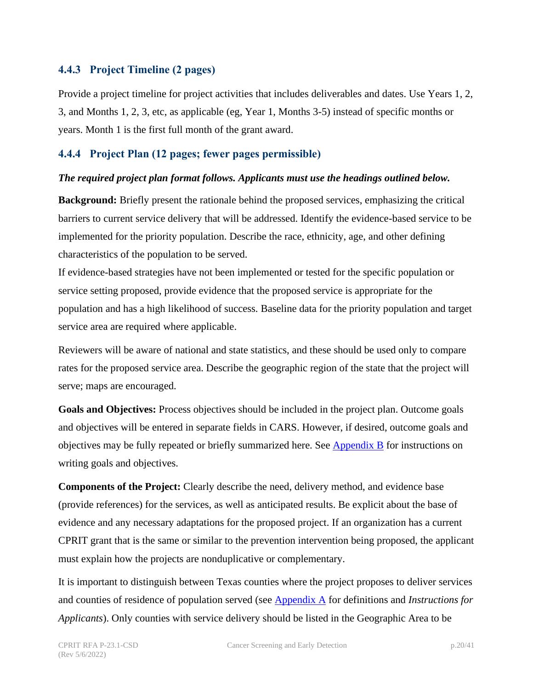#### <span id="page-19-0"></span>**4.4.3 Project Timeline (2 pages)**

Provide a project timeline for project activities that includes deliverables and dates. Use Years 1, 2, 3, and Months 1, 2, 3, etc, as applicable (eg, Year 1, Months 3-5) instead of specific months or years. Month 1 is the first full month of the grant award.

#### <span id="page-19-1"></span>**4.4.4 Project Plan (12 pages; fewer pages permissible)**

#### *The required project plan format follows. Applicants must use the headings outlined below.*

**Background:** Briefly present the rationale behind the proposed services, emphasizing the critical barriers to current service delivery that will be addressed. Identify the evidence-based service to be implemented for the priority population. Describe the race, ethnicity, age, and other defining characteristics of the population to be served.

If evidence-based strategies have not been implemented or tested for the specific population or service setting proposed, provide evidence that the proposed service is appropriate for the population and has a high likelihood of success. Baseline data for the priority population and target service area are required where applicable.

Reviewers will be aware of national and state statistics, and these should be used only to compare rates for the proposed service area. Describe the geographic region of the state that the project will serve; maps are encouraged.

**Goals and Objectives:** Process objectives should be included in the project plan. Outcome goals and objectives will be entered in separate fields in CARS. However, if desired, outcome goals and objectives may be fully repeated or briefly summarized here. See [Appendix B](#page-38-0) for instructions on writing goals and objectives.

**Components of the Project:** Clearly describe the need, delivery method, and evidence base (provide references) for the services, as well as anticipated results. Be explicit about the base of evidence and any necessary adaptations for the proposed project. If an organization has a current CPRIT grant that is the same or similar to the prevention intervention being proposed, the applicant must explain how the projects are nonduplicative or complementary.

It is important to distinguish between Texas counties where the project proposes to deliver services and counties of residence of population served (see [Appendix A](#page-35-0) for definitions and *Instructions for Applicants*). Only counties with service delivery should be listed in the Geographic Area to be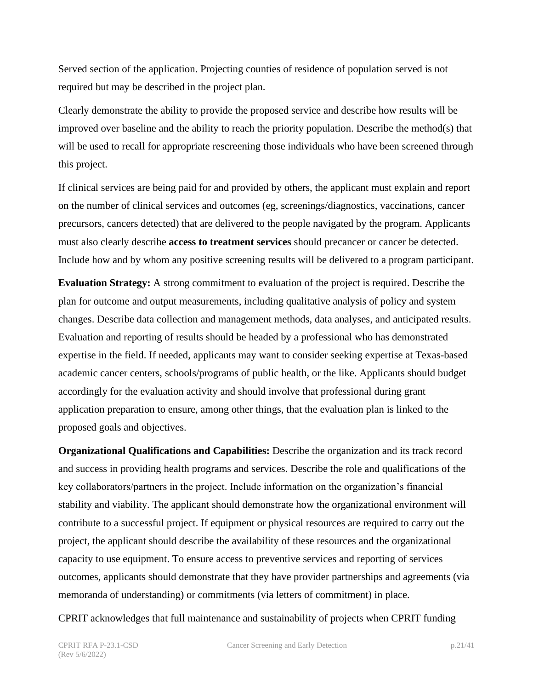Served section of the application. Projecting counties of residence of population served is not required but may be described in the project plan.

Clearly demonstrate the ability to provide the proposed service and describe how results will be improved over baseline and the ability to reach the priority population. Describe the method(s) that will be used to recall for appropriate rescreening those individuals who have been screened through this project.

If clinical services are being paid for and provided by others, the applicant must explain and report on the number of clinical services and outcomes (eg, screenings/diagnostics, vaccinations, cancer precursors, cancers detected) that are delivered to the people navigated by the program. Applicants must also clearly describe **access to treatment services** should precancer or cancer be detected. Include how and by whom any positive screening results will be delivered to a program participant.

**Evaluation Strategy:** A strong commitment to evaluation of the project is required. Describe the plan for outcome and output measurements, including qualitative analysis of policy and system changes. Describe data collection and management methods, data analyses, and anticipated results. Evaluation and reporting of results should be headed by a professional who has demonstrated expertise in the field. If needed, applicants may want to consider seeking expertise at Texas-based academic cancer centers, schools/programs of public health, or the like. Applicants should budget accordingly for the evaluation activity and should involve that professional during grant application preparation to ensure, among other things, that the evaluation plan is linked to the proposed goals and objectives.

**Organizational Qualifications and Capabilities:** Describe the organization and its track record and success in providing health programs and services. Describe the role and qualifications of the key collaborators/partners in the project. Include information on the organization's financial stability and viability. The applicant should demonstrate how the organizational environment will contribute to a successful project. If equipment or physical resources are required to carry out the project, the applicant should describe the availability of these resources and the organizational capacity to use equipment. To ensure access to preventive services and reporting of services outcomes, applicants should demonstrate that they have provider partnerships and agreements (via memoranda of understanding) or commitments (via letters of commitment) in place.

CPRIT acknowledges that full maintenance and sustainability of projects when CPRIT funding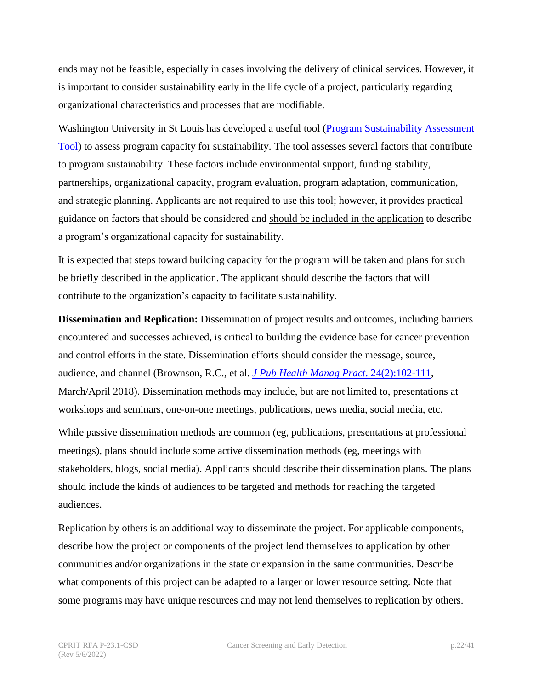ends may not be feasible, especially in cases involving the delivery of clinical services. However, it is important to consider sustainability early in the life cycle of a project, particularly regarding organizational characteristics and processes that are modifiable.

Washington University in St Louis has developed a useful tool [\(Program Sustainability Assessment](https://www.sustaintool.org/about-us/) [Tool\)](https://www.sustaintool.org/about-us/) to assess program capacity for sustainability. The tool assesses several factors that contribute to program sustainability. These factors include environmental support, funding stability, partnerships, organizational capacity, program evaluation, program adaptation, communication, and strategic planning. Applicants are not required to use this tool; however, it provides practical guidance on factors that should be considered and should be included in the application to describe a program's organizational capacity for sustainability.

It is expected that steps toward building capacity for the program will be taken and plans for such be briefly described in the application. The applicant should describe the factors that will contribute to the organization's capacity to facilitate sustainability.

**Dissemination and Replication:** Dissemination of project results and outcomes, including barriers encountered and successes achieved, is critical to building the evidence base for cancer prevention and control efforts in the state. Dissemination efforts should consider the message, source, audience, and channel (Brownson, R.C., et al. *[J Pub Health Manag Pract](https://journals.lww.com/jphmp/Fulltext/2018/03000/Getting_the_Word_Out___New_Approaches_for.4.aspx)*. 24(2):102-111, March/April 2018). Dissemination methods may include, but are not limited to, presentations at workshops and seminars, one-on-one meetings, publications, news media, social media, etc.

While passive dissemination methods are common (eg, publications, presentations at professional meetings), plans should include some active dissemination methods (eg, meetings with stakeholders, blogs, social media). Applicants should describe their dissemination plans. The plans should include the kinds of audiences to be targeted and methods for reaching the targeted audiences.

Replication by others is an additional way to disseminate the project. For applicable components, describe how the project or components of the project lend themselves to application by other communities and/or organizations in the state or expansion in the same communities. Describe what components of this project can be adapted to a larger or lower resource setting. Note that some programs may have unique resources and may not lend themselves to replication by others.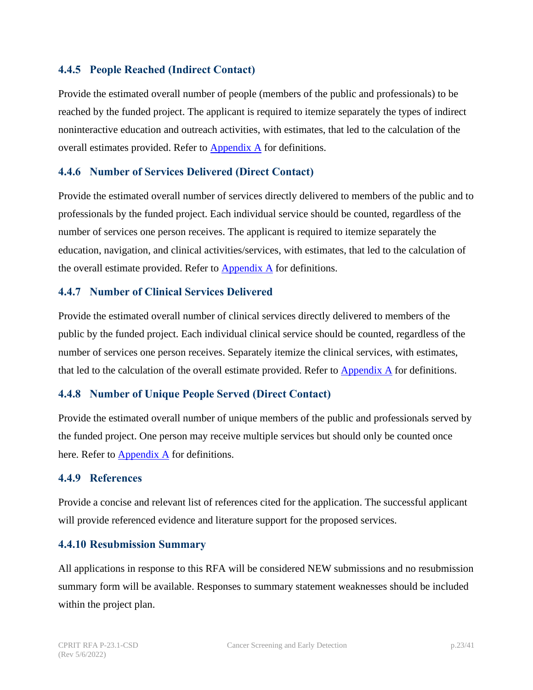#### <span id="page-22-0"></span>**4.4.5 People Reached (Indirect Contact)**

Provide the estimated overall number of people (members of the public and professionals) to be reached by the funded project. The applicant is required to itemize separately the types of indirect noninteractive education and outreach activities, with estimates, that led to the calculation of the overall estimates provided. Refer to **[Appendix A](#page-35-0)** for definitions.

#### <span id="page-22-1"></span>**4.4.6 Number of Services Delivered (Direct Contact)**

Provide the estimated overall number of services directly delivered to members of the public and to professionals by the funded project. Each individual service should be counted, regardless of the number of services one person receives. The applicant is required to itemize separately the education, navigation, and clinical activities/services, with estimates, that led to the calculation of the overall estimate provided. Refer to  $\Delta$ ppendix  $\Delta$  for definitions.

#### <span id="page-22-2"></span>**4.4.7 Number of Clinical Services Delivered**

Provide the estimated overall number of clinical services directly delivered to members of the public by the funded project. Each individual clinical service should be counted, regardless of the number of services one person receives. Separately itemize the clinical services, with estimates, that led to the calculation of the overall estimate provided. Refer to  $\Delta$ ppendix  $\Delta$  for definitions.

#### <span id="page-22-3"></span>**4.4.8 Number of Unique People Served (Direct Contact)**

Provide the estimated overall number of unique members of the public and professionals served by the funded project. One person may receive multiple services but should only be counted once here. Refer to  $\Delta$ ppendix  $\Delta$  for definitions.

#### <span id="page-22-4"></span>**4.4.9 References**

Provide a concise and relevant list of references cited for the application. The successful applicant will provide referenced evidence and literature support for the proposed services.

#### <span id="page-22-5"></span>**4.4.10 Resubmission Summary**

All applications in response to this RFA will be considered NEW submissions and no resubmission summary form will be available. Responses to summary statement weaknesses should be included within the project plan.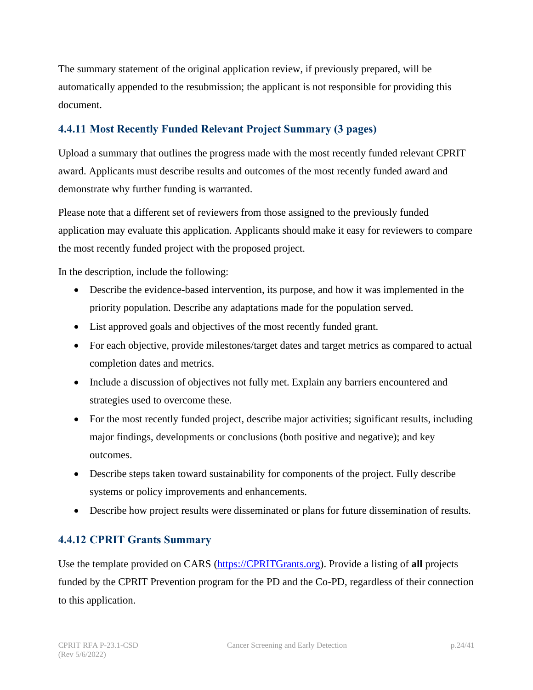The summary statement of the original application review, if previously prepared, will be automatically appended to the resubmission; the applicant is not responsible for providing this document.

## <span id="page-23-0"></span>**4.4.11 Most Recently Funded Relevant Project Summary (3 pages)**

Upload a summary that outlines the progress made with the most recently funded relevant CPRIT award. Applicants must describe results and outcomes of the most recently funded award and demonstrate why further funding is warranted.

Please note that a different set of reviewers from those assigned to the previously funded application may evaluate this application. Applicants should make it easy for reviewers to compare the most recently funded project with the proposed project.

In the description, include the following:

- Describe the evidence-based intervention, its purpose, and how it was implemented in the priority population. Describe any adaptations made for the population served.
- List approved goals and objectives of the most recently funded grant.
- For each objective, provide milestones/target dates and target metrics as compared to actual completion dates and metrics.
- Include a discussion of objectives not fully met. Explain any barriers encountered and strategies used to overcome these.
- For the most recently funded project, describe major activities; significant results, including major findings, developments or conclusions (both positive and negative); and key outcomes.
- Describe steps taken toward sustainability for components of the project. Fully describe systems or policy improvements and enhancements.
- Describe how project results were disseminated or plans for future dissemination of results.

#### <span id="page-23-1"></span>**4.4.12 CPRIT Grants Summary**

Use the template provided on CARS [\(https://CPRITGrants.org\)](https://cpritgrants.org/). Provide a listing of **all** projects funded by the CPRIT Prevention program for the PD and the Co-PD, regardless of their connection to this application.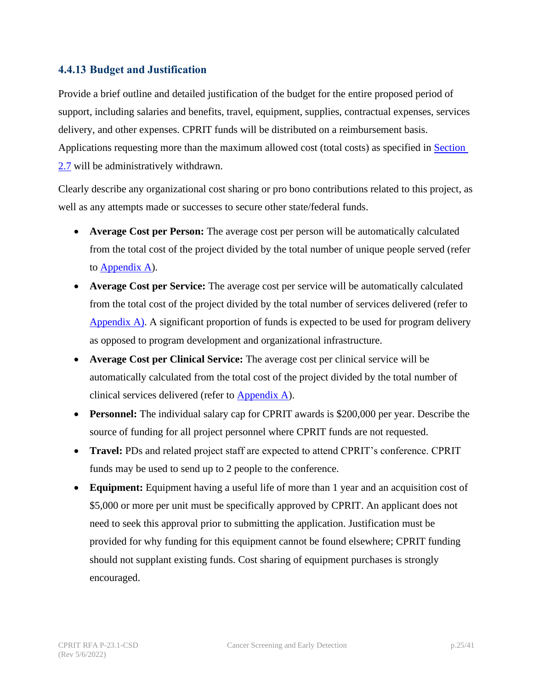#### <span id="page-24-0"></span>**4.4.13 Budget and Justification**

Provide a brief outline and detailed justification of the budget for the entire proposed period of support, including salaries and benefits, travel, equipment, supplies, contractual expenses, services delivery, and other expenses. CPRIT funds will be distributed on a reimbursement basis. Applications requesting more than the maximum allowed cost (total costs) as specified in Section [2.7](#page-12-1) will be administratively withdrawn.

Clearly describe any organizational cost sharing or pro bono contributions related to this project, as well as any attempts made or successes to secure other state/federal funds.

- **Average Cost per Person:** The average cost per person will be automatically calculated from the total cost of the project divided by the total number of unique people served (refer to [Appendix A\)](#page-35-0).
- **Average Cost per Service:** The average cost per service will be automatically calculated from the total cost of the project divided by the total number of services delivered (refer to [Appendix](#page-35-0) A). A significant proportion of funds is expected to be used for program delivery as opposed to program development and organizational infrastructure.
- **Average Cost per Clinical Service:** The average cost per clinical service will be automatically calculated from the total cost of the project divided by the total number of clinical services delivered (refer to [Appendix A\)](#page-35-0).
- **Personnel:** The individual salary cap for CPRIT awards is \$200,000 per year. Describe the source of funding for all project personnel where CPRIT funds are not requested.
- **Travel:** PDs and related project staff are expected to attend CPRIT's conference. CPRIT funds may be used to send up to 2 people to the conference.
- **Equipment:** Equipment having a useful life of more than 1 year and an acquisition cost of \$5,000 or more per unit must be specifically approved by CPRIT. An applicant does not need to seek this approval prior to submitting the application. Justification must be provided for why funding for this equipment cannot be found elsewhere; CPRIT funding should not supplant existing funds. Cost sharing of equipment purchases is strongly encouraged.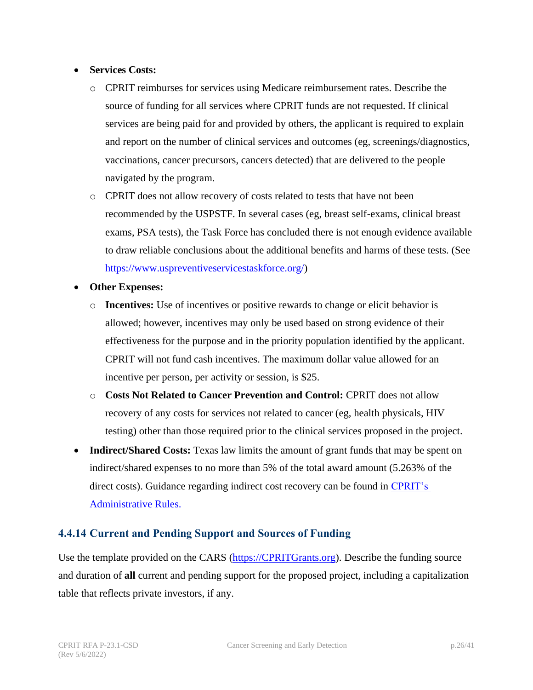#### • **Services Costs:**

- o CPRIT reimburses for services using Medicare reimbursement rates. Describe the source of funding for all services where CPRIT funds are not requested. If clinical services are being paid for and provided by others, the applicant is required to explain and report on the number of clinical services and outcomes (eg, screenings/diagnostics, vaccinations, cancer precursors, cancers detected) that are delivered to the people navigated by the program.
- o CPRIT does not allow recovery of costs related to tests that have not been recommended by the USPSTF. In several cases (eg, breast self-exams, clinical breast exams, PSA tests), the Task Force has concluded there is not enough evidence available to draw reliable conclusions about the additional benefits and harms of these tests. (See [https://www.uspreventiveservicestaskforce.org/\)](https://www.uspreventiveservicestaskforce.org/)
- **Other Expenses:**
	- o **Incentives:** Use of incentives or positive rewards to change or elicit behavior is allowed; however, incentives may only be used based on strong evidence of their effectiveness for the purpose and in the priority population identified by the applicant. CPRIT will not fund cash incentives. The maximum dollar value allowed for an incentive per person, per activity or session, is \$25.
	- o **Costs Not Related to Cancer Prevention and Control:** CPRIT does not allow recovery of any costs for services not related to cancer (eg, health physicals, HIV testing) other than those required prior to the clinical services proposed in the project.
- **Indirect/Shared Costs:** Texas law limits the amount of grant funds that may be spent on indirect/shared expenses to no more than 5% of the total award amount (5.263% of the direct costs). Guidance regarding indirect cost recovery can be found in [CPRIT's](https://texreg.sos.state.tx.us/public/readtac%24ext.ViewTAC?tac_view=3&ti=25&pt=11) [Administrative](https://texreg.sos.state.tx.us/public/readtac%24ext.ViewTAC?tac_view=3&ti=25&pt=11) Rules.

#### <span id="page-25-0"></span>**4.4.14 Current and Pending Support and Sources of Funding**

Use the template provided on the CARS [\(https://CPRITGrants.org\)](https://cpritgrants.org/). Describe the funding source and duration of **all** current and pending support for the proposed project, including a capitalization table that reflects private investors, if any.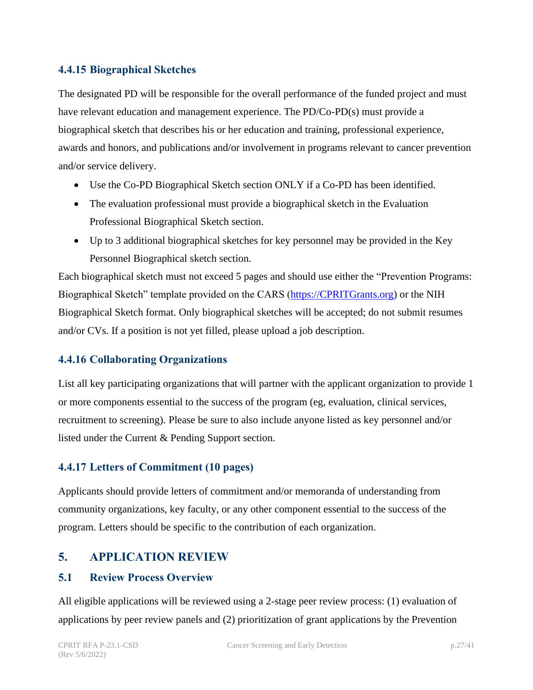#### <span id="page-26-0"></span>**4.4.15 Biographical Sketches**

The designated PD will be responsible for the overall performance of the funded project and must have relevant education and management experience. The PD/Co-PD(s) must provide a biographical sketch that describes his or her education and training, professional experience, awards and honors, and publications and/or involvement in programs relevant to cancer prevention and/or service delivery.

- Use the Co-PD Biographical Sketch section ONLY if a Co-PD has been identified.
- The evaluation professional must provide a biographical sketch in the Evaluation Professional Biographical Sketch section.
- Up to 3 additional biographical sketches for key personnel may be provided in the Key Personnel Biographical sketch section.

Each biographical sketch must not exceed 5 pages and should use either the "Prevention Programs: Biographical Sketch" template provided on the CARS [\(https://CPRITGrants.org\)](https://cpritgrants.org/) or the NIH Biographical Sketch format. Only biographical sketches will be accepted; do not submit resumes and/or CVs. If a position is not yet filled, please upload a job description.

#### <span id="page-26-1"></span>**4.4.16 Collaborating Organizations**

List all key participating organizations that will partner with the applicant organization to provide 1 or more components essential to the success of the program (eg, evaluation, clinical services, recruitment to screening). Please be sure to also include anyone listed as key personnel and/or listed under the Current & Pending Support section.

#### <span id="page-26-2"></span>**4.4.17 Letters of Commitment (10 pages)**

Applicants should provide letters of commitment and/or memoranda of understanding from community organizations, key faculty, or any other component essential to the success of the program. Letters should be specific to the contribution of each organization.

#### <span id="page-26-3"></span>**5. APPLICATION REVIEW**

#### <span id="page-26-4"></span>**5.1 Review Process Overview**

All eligible applications will be reviewed using a 2-stage peer review process: (1) evaluation of applications by peer review panels and (2) prioritization of grant applications by the Prevention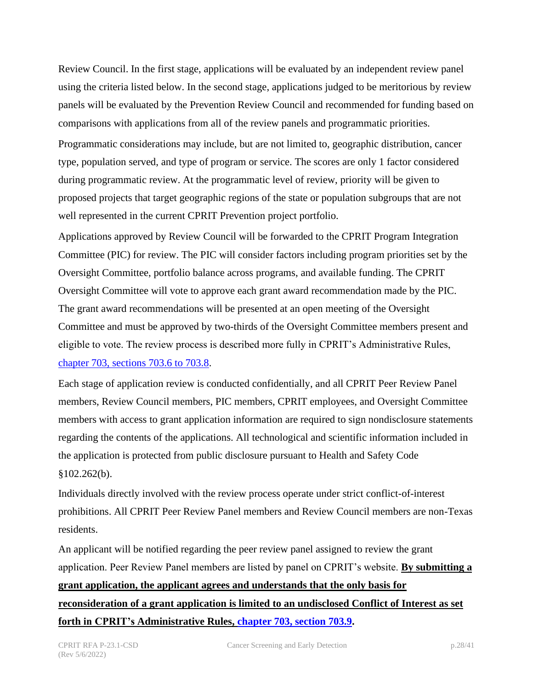Review Council. In the first stage, applications will be evaluated by an independent review panel using the criteria listed below. In the second stage, applications judged to be meritorious by review panels will be evaluated by the Prevention Review Council and recommended for funding based on comparisons with applications from all of the review panels and programmatic priorities.

Programmatic considerations may include, but are not limited to, geographic distribution, cancer type, population served, and type of program or service. The scores are only 1 factor considered during programmatic review. At the programmatic level of review, priority will be given to proposed projects that target geographic regions of the state or population subgroups that are not well represented in the current CPRIT Prevention project portfolio.

Applications approved by Review Council will be forwarded to the CPRIT Program Integration Committee (PIC) for review. The PIC will consider factors including program priorities set by the Oversight Committee, portfolio balance across programs, and available funding. The CPRIT Oversight Committee will vote to approve each grant award recommendation made by the PIC. The grant award recommendations will be presented at an open meeting of the Oversight Committee and must be approved by two-thirds of the Oversight Committee members present and eligible to vote. The review process is described more fully in CPRIT's Administrative Rules, chapter [703, sections 703.6 to 703.8.](https://texreg.sos.state.tx.us/public/readtac%24ext.ViewTAC?tac_view=4&ti=25&pt=11&ch=703&rl=Y)

Each stage of application review is conducted confidentially, and all CPRIT Peer Review Panel members, Review Council members, PIC members, CPRIT employees, and Oversight Committee members with access to grant application information are required to sign nondisclosure statements regarding the contents of the applications. All technological and scientific information included in the application is protected from public disclosure pursuant to Health and Safety Code  $§102.262(b).$ 

Individuals directly involved with the review process operate under strict conflict-of-interest prohibitions. All CPRIT Peer Review Panel members and Review Council members are non-Texas residents.

An applicant will be notified regarding the peer review panel assigned to review the grant application. Peer Review Panel members are listed by panel on CPRIT's website. **By submitting a grant application, the applicant agrees and understands that the only basis for reconsideration of a grant application is limited to an undisclosed Conflict of Interest as set forth in CPRIT's Administrative Rules, chapter [703, section 703.9.](https://texreg.sos.state.tx.us/public/readtac$ext.TacPage?sl=R&app=9&p_dir=&p_rloc=&p_tloc=&p_ploc=&pg=1&p_tac=&ti=25&pt=11&ch=703&rl=9)**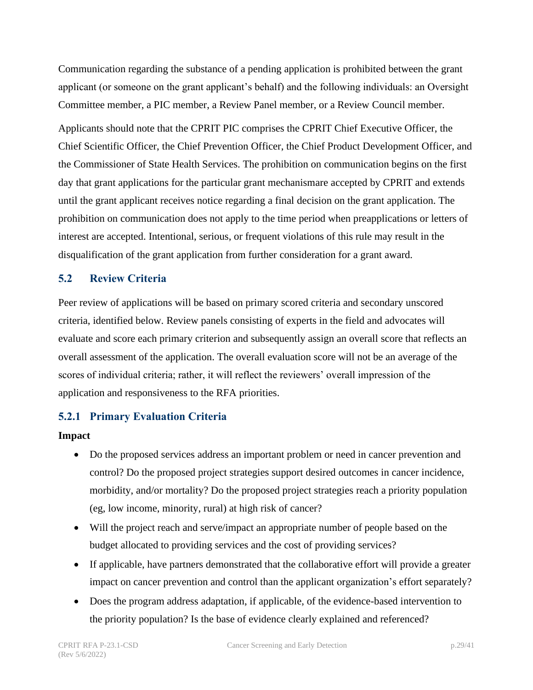Communication regarding the substance of a pending application is prohibited between the grant applicant (or someone on the grant applicant's behalf) and the following individuals: an Oversight Committee member, a PIC member, a Review Panel member, or a Review Council member.

Applicants should note that the CPRIT PIC comprises the CPRIT Chief Executive Officer, the Chief Scientific Officer, the Chief Prevention Officer, the Chief Product Development Officer, and the Commissioner of State Health Services. The prohibition on communication begins on the first day that grant applications for the particular grant mechanismare accepted by CPRIT and extends until the grant applicant receives notice regarding a final decision on the grant application. The prohibition on communication does not apply to the time period when preapplications or letters of interest are accepted. Intentional, serious, or frequent violations of this rule may result in the disqualification of the grant application from further consideration for a grant award.

#### <span id="page-28-0"></span>**5.2 Review Criteria**

Peer review of applications will be based on primary scored criteria and secondary unscored criteria, identified below. Review panels consisting of experts in the field and advocates will evaluate and score each primary criterion and subsequently assign an overall score that reflects an overall assessment of the application. The overall evaluation score will not be an average of the scores of individual criteria; rather, it will reflect the reviewers' overall impression of the application and responsiveness to the RFA priorities.

#### <span id="page-28-1"></span>**5.2.1 Primary Evaluation Criteria**

#### **Impact**

- Do the proposed services address an important problem or need in cancer prevention and control? Do the proposed project strategies support desired outcomes in cancer incidence, morbidity, and/or mortality? Do the proposed project strategies reach a priority population (eg, low income, minority, rural) at high risk of cancer?
- Will the project reach and serve/impact an appropriate number of people based on the budget allocated to providing services and the cost of providing services?
- If applicable, have partners demonstrated that the collaborative effort will provide a greater impact on cancer prevention and control than the applicant organization's effort separately?
- Does the program address adaptation, if applicable, of the evidence-based intervention to the priority population? Is the base of evidence clearly explained and referenced?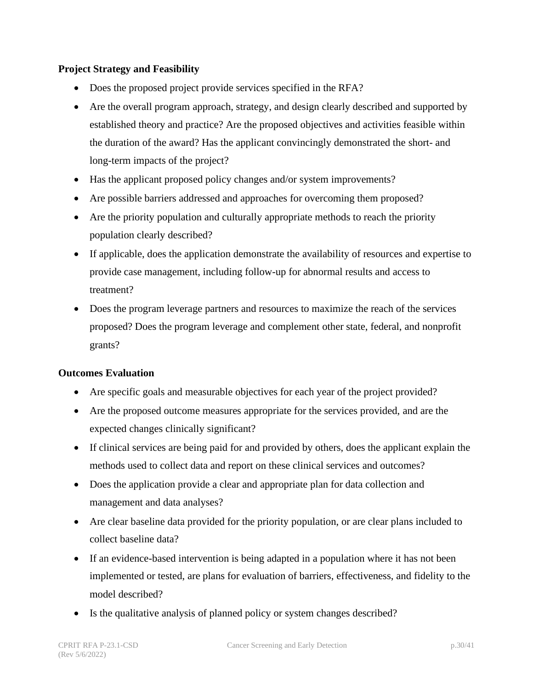#### **Project Strategy and Feasibility**

- Does the proposed project provide services specified in the RFA?
- Are the overall program approach, strategy, and design clearly described and supported by established theory and practice? Are the proposed objectives and activities feasible within the duration of the award? Has the applicant convincingly demonstrated the short- and long-term impacts of the project?
- Has the applicant proposed policy changes and/or system improvements?
- Are possible barriers addressed and approaches for overcoming them proposed?
- Are the priority population and culturally appropriate methods to reach the priority population clearly described?
- If applicable, does the application demonstrate the availability of resources and expertise to provide case management, including follow-up for abnormal results and access to treatment?
- Does the program leverage partners and resources to maximize the reach of the services proposed? Does the program leverage and complement other state, federal, and nonprofit grants?

#### **Outcomes Evaluation**

- Are specific goals and measurable objectives for each year of the project provided?
- Are the proposed outcome measures appropriate for the services provided, and are the expected changes clinically significant?
- If clinical services are being paid for and provided by others, does the applicant explain the methods used to collect data and report on these clinical services and outcomes?
- Does the application provide a clear and appropriate plan for data collection and management and data analyses?
- Are clear baseline data provided for the priority population, or are clear plans included to collect baseline data?
- If an evidence-based intervention is being adapted in a population where it has not been implemented or tested, are plans for evaluation of barriers, effectiveness, and fidelity to the model described?
- Is the qualitative analysis of planned policy or system changes described?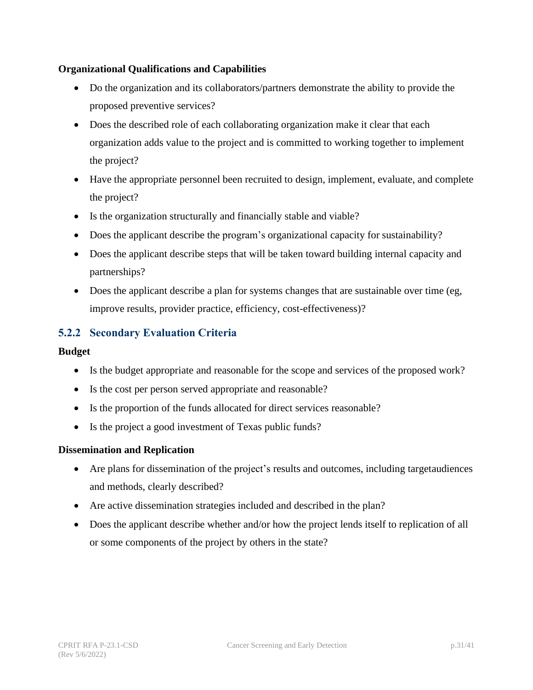#### **Organizational Qualifications and Capabilities**

- Do the organization and its collaborators/partners demonstrate the ability to provide the proposed preventive services?
- Does the described role of each collaborating organization make it clear that each organization adds value to the project and is committed to working together to implement the project?
- Have the appropriate personnel been recruited to design, implement, evaluate, and complete the project?
- Is the organization structurally and financially stable and viable?
- Does the applicant describe the program's organizational capacity for sustainability?
- Does the applicant describe steps that will be taken toward building internal capacity and partnerships?
- Does the applicant describe a plan for systems changes that are sustainable over time (eg, improve results, provider practice, efficiency, cost-effectiveness)?

## <span id="page-30-0"></span>**5.2.2 Secondary Evaluation Criteria**

#### **Budget**

- Is the budget appropriate and reasonable for the scope and services of the proposed work?
- Is the cost per person served appropriate and reasonable?
- Is the proportion of the funds allocated for direct services reasonable?
- Is the project a good investment of Texas public funds?

#### **Dissemination and Replication**

- Are plans for dissemination of the project's results and outcomes, including targetaudiences and methods, clearly described?
- Are active dissemination strategies included and described in the plan?
- Does the applicant describe whether and/or how the project lends itself to replication of all or some components of the project by others in the state?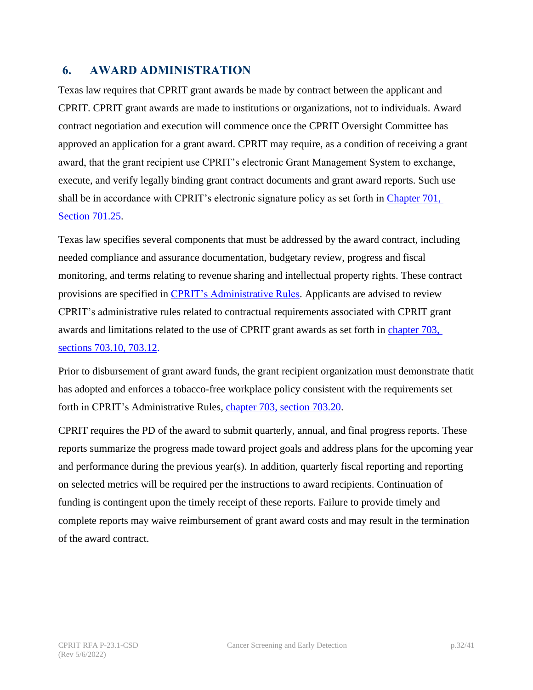## <span id="page-31-0"></span>**6. AWARD ADMINISTRATION**

Texas law requires that CPRIT grant awards be made by contract between the applicant and CPRIT. CPRIT grant awards are made to institutions or organizations, not to individuals. Award contract negotiation and execution will commence once the CPRIT Oversight Committee has approved an application for a grant award. CPRIT may require, as a condition of receiving a grant award, that the grant recipient use CPRIT's electronic Grant Management System to exchange, execute, and verify legally binding grant contract documents and grant award reports. Such use shall be in accordance with CPRIT's electronic signature policy as set forth in Chapter 701, [Section 701.25.](https://texreg.sos.state.tx.us/public/readtac$ext.TacPage?sl=R&app=9&p_dir=&p_rloc=&p_tloc=&p_ploc=&pg=1&p_tac=&ti=25&pt=11&ch=701&rl=25)

Texas law specifies several components that must be addressed by the award contract, including needed compliance and assurance documentation, budgetary review, progress and fiscal monitoring, and terms relating to revenue sharing and intellectual property rights. These contract provisions are specified in [CPRIT's Administrative Rules.](https://texreg.sos.state.tx.us/public/readtac%24ext.ViewTAC?tac_view=3&ti=25&pt=11) Applicants are advised to review CPRIT's administrative rules related to contractual requirements associated with CPRIT grant awards and limitations related to the use of CPRIT grant awards as set forth in [chapter 703,](https://texreg.sos.state.tx.us/public/readtac%24ext.ViewTAC?tac_view=4&ti=25&pt=11&ch=703&rl=Y) sections [703.10, 703.12.](https://texreg.sos.state.tx.us/public/readtac%24ext.ViewTAC?tac_view=4&ti=25&pt=11&ch=703&rl=Y)

Prior to disbursement of grant award funds, the grant recipient organization must demonstrate thatit has adopted and enforces a tobacco-free workplace policy consistent with the requirements set forth in CPRIT's Administrative Rules, chapter [703, section 703.20.](https://texreg.sos.state.tx.us/public/readtac$ext.TacPage?sl=R&app=9&p_dir=&p_rloc=&p_tloc=&p_ploc=&pg=1&p_tac=&ti=25&pt=11&ch=703&rl=20)

CPRIT requires the PD of the award to submit quarterly, annual, and final progress reports. These reports summarize the progress made toward project goals and address plans for the upcoming year and performance during the previous year(s). In addition, quarterly fiscal reporting and reporting on selected metrics will be required per the instructions to award recipients. Continuation of funding is contingent upon the timely receipt of these reports. Failure to provide timely and complete reports may waive reimbursement of grant award costs and may result in the termination of the award contract.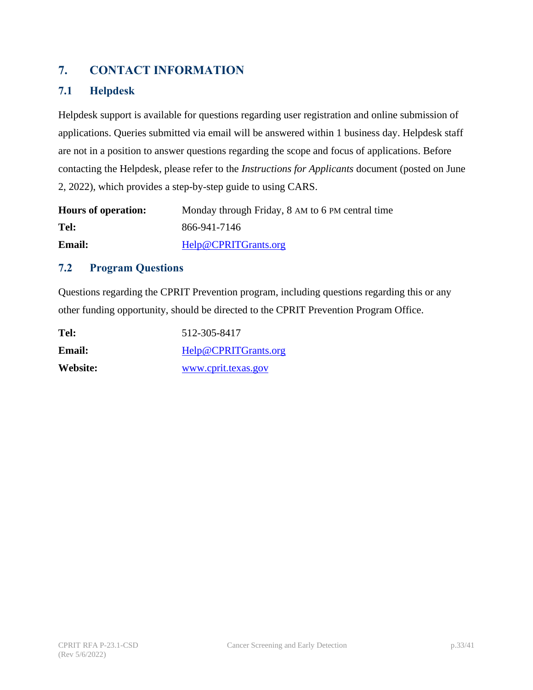## <span id="page-32-0"></span>**7. CONTACT INFORMATION**

## <span id="page-32-1"></span>**7.1 Helpdesk**

Helpdesk support is available for questions regarding user registration and online submission of applications. Queries submitted via email will be answered within 1 business day. Helpdesk staff are not in a position to answer questions regarding the scope and focus of applications. Before contacting the Helpdesk, please refer to the *Instructions for Applicants* document (posted on June 2, 2022), which provides a step-by-step guide to using CARS.

| <b>Hours of operation:</b> | Monday through Friday, 8 AM to 6 PM central time |
|----------------------------|--------------------------------------------------|
| Tel:                       | 866-941-7146                                     |
| <b>Email:</b>              | Help@CPRITGrants.org                             |

#### <span id="page-32-2"></span>**7.2 Program Questions**

Questions regarding the CPRIT Prevention program, including questions regarding this or any other funding opportunity, should be directed to the CPRIT Prevention Program Office.

| Tel:          | 512-305-8417         |
|---------------|----------------------|
| <b>Email:</b> | Help@CPRITGrants.org |
| Website:      | www.cprit.texas.gov  |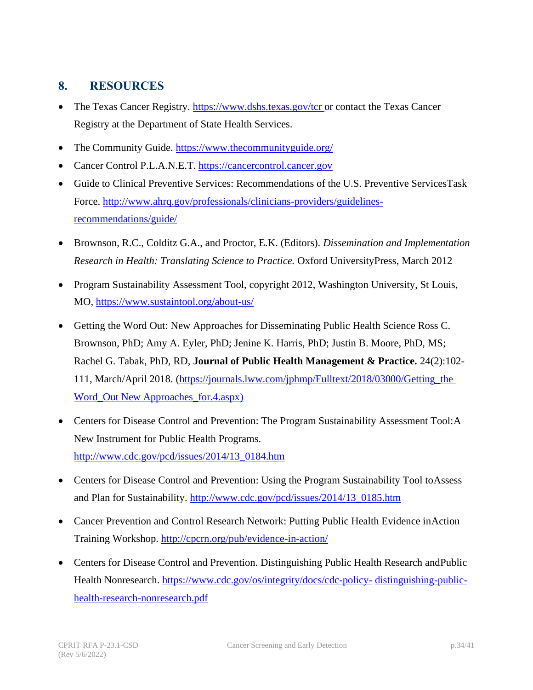## <span id="page-33-0"></span>**8. RESOURCES**

- The Texas Cancer Registry. <https://www.dshs.texas.gov/tcr> or contact the Texas Cancer Registry at the Department of State Health Services.
- The Community Guide. <https://www.thecommunityguide.org/>
- Cancer Control P.L.A.N.E.T. [https://cancercontrol.cancer.gov](https://cancercontrol.cancer.gov/)
- Guide to Clinical Preventive Services: Recommendations of the U.S. Preventive ServicesTask Force. [http://www.ahrq.gov/professionals/clinicians-providers/guidelines](http://www.ahrq.gov/professionals/clinicians-providers/guidelines-recommendations/guide/)[recommendations/guide/](http://www.ahrq.gov/professionals/clinicians-providers/guidelines-recommendations/guide/)
- Brownson, R.C., Colditz G.A., and Proctor, E.K. (Editors). *Dissemination and Implementation Research in Health: Translating Science to Practice.* Oxford UniversityPress, March 2012
- Program Sustainability Assessment Tool, copyright 2012, Washington University, St Louis, MO, <https://www.sustaintool.org/about-us/>
- Getting the Word Out: New Approaches for Disseminating Public Health Science Ross C. Brownson, PhD; Amy A. Eyler, PhD; Jenine K. Harris, PhD; Justin B. Moore, PhD, MS; Rachel G. Tabak, PhD, RD, **Journal of Public Health Management & Practice.** 24(2):102- 111, March/April 2018. [\(https://journals.lww.com/jphmp/Fulltext/2018/03000/Getting\\_the](https://journals.lww.com/jphmp/Fulltext/2018/03000/Getting_the_Word_Out%20New_Ap) [Word\\_Out New](https://journals.lww.com/jphmp/Fulltext/2018/03000/Getting_the_Word_Out%20New_Ap) A[pproaches\\_for.4.aspx\)](https://journals.lww.com/jphmp/Fulltext/2018/03000/Getting_the_Word_Out___New_Approaches_for.4.aspx)
- Centers for Disease Control and Prevention: The Program Sustainability Assessment Tool: A New Instrument for Public Health Programs. [http://www.cdc.gov/pcd/issues/2014/13\\_0184.htm](http://www.cdc.gov/pcd/issues/2014/13_0184.htm)
- Centers for Disease Control and Prevention: Using the Program Sustainability Tool toAssess and Plan for Sustainability. [http://www.cdc.gov/pcd/issues/2014/13\\_0185.htm](http://www.cdc.gov/pcd/issues/2014/13_0185.htm)
- Cancer Prevention and Control Research Network: Putting Public Health Evidence inAction Training Workshop. <http://cpcrn.org/pub/evidence-in-action/>
- Centers for Disease Control and Prevention. Distinguishing Public Health Research and Public Health Nonresearch. [https://www.cdc.gov/os/integrity/docs/cdc-policy-](https://www.cdc.gov/os/integrity/docs/cdc-policy-distinguishing-public-health-research-nonresearch.pdf) [distinguishing-public](https://www.cdc.gov/os/integrity/docs/cdc-policy-distinguishing-public-health-research-nonresearch.pdf)[health-research-nonresearch.pdf](https://www.cdc.gov/os/integrity/docs/cdc-policy-distinguishing-public-health-research-nonresearch.pdf)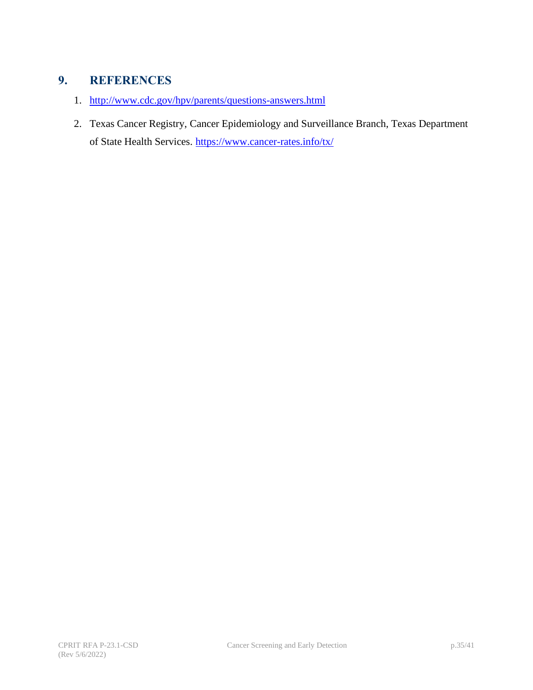## <span id="page-34-0"></span>**9. REFERENCES**

- 1. <http://www.cdc.gov/hpv/parents/questions-answers.html>
- <span id="page-34-1"></span>2. Texas Cancer Registry, Cancer Epidemiology and Surveillance Branch, Texas Department of State Health Services. <https://www.cancer-rates.info/tx/>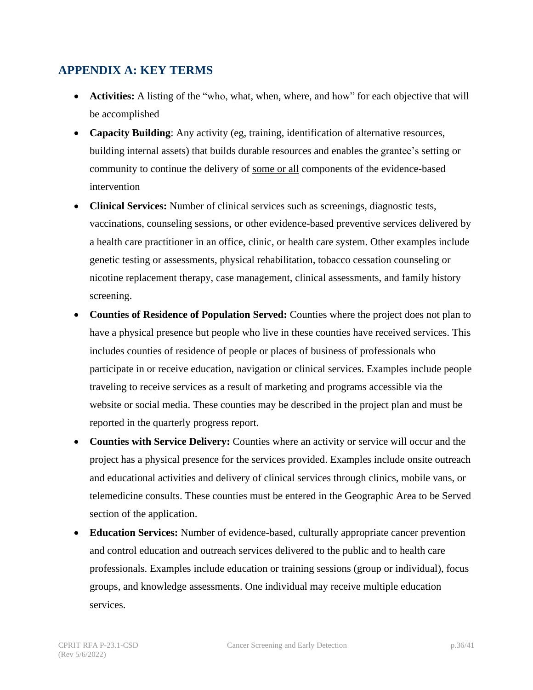## <span id="page-35-0"></span>**APPENDIX A: KEY TERMS**

- **Activities:** A listing of the "who, what, when, where, and how" for each objective that will be accomplished
- **Capacity Building**: Any activity (eg, training, identification of alternative resources, building internal assets) that builds durable resources and enables the grantee's setting or community to continue the delivery of some or all components of the evidence-based intervention
- <span id="page-35-1"></span>• **Clinical Services:** Number of clinical services such as screenings, diagnostic tests, vaccinations, counseling sessions, or other evidence-based preventive services delivered by a health care practitioner in an office, clinic, or health care system. Other examples include genetic testing or assessments, physical rehabilitation, tobacco cessation counseling or nicotine replacement therapy, case management, clinical assessments, and family history screening.
- **Counties of Residence of Population Served:** Counties where the project does not plan to have a physical presence but people who live in these counties have received services. This includes counties of residence of people or places of business of professionals who participate in or receive education, navigation or clinical services. Examples include people traveling to receive services as a result of marketing and programs accessible via the website or social media. These counties may be described in the project plan and must be reported in the quarterly progress report.
- **Counties with Service Delivery:** Counties where an activity or service will occur and the project has a physical presence for the services provided. Examples include onsite outreach and educational activities and delivery of clinical services through clinics, mobile vans, or telemedicine consults. These counties must be entered in the Geographic Area to be Served section of the application.
- **Education Services:** Number of evidence-based, culturally appropriate cancer prevention and control education and outreach services delivered to the public and to health care professionals. Examples include education or training sessions (group or individual), focus groups, and knowledge assessments. One individual may receive multiple education services.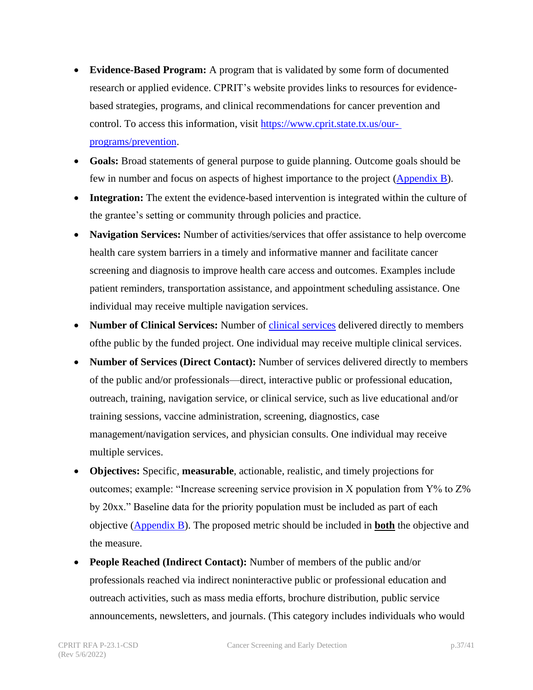- **Evidence-Based Program:** A program that is validated by some form of documented research or applied evidence. CPRIT's website provides links to resources for evidencebased strategies, programs, and clinical recommendations for cancer prevention and control. To access this information, visit [https://www.cprit.state.tx.us/our](https://www.cprit.state.tx.us/our-programs/prevention)[programs/prevention.](https://www.cprit.state.tx.us/our-programs/prevention)
- **Goals:** Broad statements of general purpose to guide planning. Outcome goals should be few in number and focus on aspects of highest importance to the project [\(Appendix](#page-38-0) B).
- **Integration:** The extent the evidence-based intervention is integrated within the culture of the grantee's setting or community through policies and practice.
- **Navigation Services:** Number of activities/services that offer assistance to help overcome health care system barriers in a timely and informative manner and facilitate cancer screening and diagnosis to improve health care access and outcomes. Examples include patient reminders, transportation assistance, and appointment scheduling assistance. One individual may receive multiple navigation services.
- **Number of Clinical Services:** Number of [clinical services](#page-35-1) delivered directly to members ofthe public by the funded project. One individual may receive multiple clinical services.
- **Number of Services (Direct Contact):** Number of services delivered directly to members of the public and/or professionals—direct, interactive public or professional education, outreach, training, navigation service, or clinical service, such as live educational and/or training sessions, vaccine administration, screening, diagnostics, case management/navigation services, and physician consults. One individual may receive multiple services.
- **Objectives:** Specific, **measurable**, actionable, realistic, and timely projections for outcomes; example: "Increase screening service provision in X population from  $Y\%$  to  $Z\%$ by 20xx." Baseline data for the priority population must be included as part of each objective [\(Appendix B\)](#page-38-0). The proposed metric should be included in **both** the objective and the measure.
- **People Reached (Indirect Contact):** Number of members of the public and/or professionals reached via indirect noninteractive public or professional education and outreach activities, such as mass media efforts, brochure distribution, public service announcements, newsletters, and journals. (This category includes individuals who would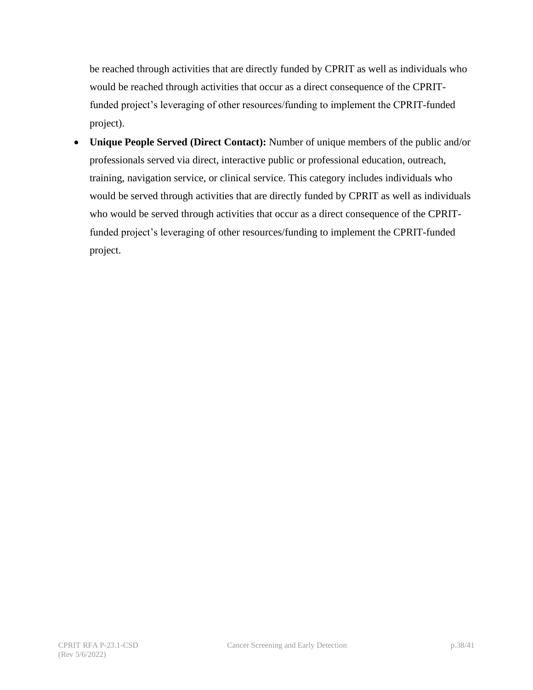be reached through activities that are directly funded by CPRIT as well as individuals who would be reached through activities that occur as a direct consequence of the CPRITfunded project's leveraging of other resources/funding to implement the CPRIT-funded project).

• **Unique People Served (Direct Contact):** Number of unique members of the public and/or professionals served via direct, interactive public or professional education, outreach, training, navigation service, or clinical service. This category includes individuals who would be served through activities that are directly funded by CPRIT as well as individuals who would be served through activities that occur as a direct consequence of the CPRITfunded project's leveraging of other resources/funding to implement the CPRIT-funded project.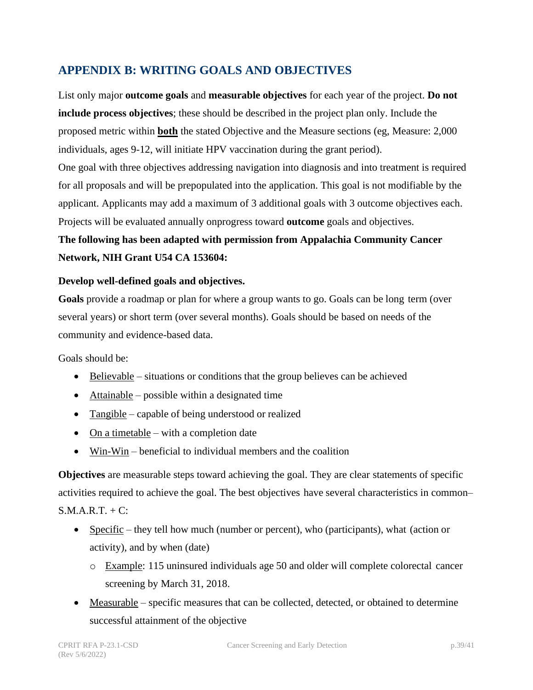## <span id="page-38-0"></span>**APPENDIX B: WRITING GOALS AND OBJECTIVES**

List only major **outcome goals** and **measurable objectives** for each year of the project. **Do not include process objectives**; these should be described in the project plan only. Include the proposed metric within **both** the stated Objective and the Measure sections (eg, Measure: 2,000 individuals, ages 9-12, will initiate HPV vaccination during the grant period).

One goal with three objectives addressing navigation into diagnosis and into treatment is required for all proposals and will be prepopulated into the application. This goal is not modifiable by the applicant. Applicants may add a maximum of 3 additional goals with 3 outcome objectives each. Projects will be evaluated annually onprogress toward **outcome** goals and objectives.

## **The following has been adapted with permission from Appalachia Community Cancer Network, NIH Grant U54 CA 153604:**

#### **Develop well-defined goals and objectives.**

**Goals** provide a roadmap or plan for where a group wants to go. Goals can be long term (over several years) or short term (over several months). Goals should be based on needs of the community and evidence-based data.

Goals should be:

- Believable situations or conditions that the group believes can be achieved
- Attainable possible within a designated time
- Tangible capable of being understood or realized
- On a timetable with a completion date
- Win-Win beneficial to individual members and the coalition

**Objectives** are measurable steps toward achieving the goal. They are clear statements of specific activities required to achieve the goal. The best objectives have several characteristics in common–  $S.M.A.R.T. + C:$ 

- Specific they tell how much (number or percent), who (participants), what (action or activity), and by when (date)
	- o Example: 115 uninsured individuals age 50 and older will complete colorectal cancer screening by March 31, 2018.
- Measurable specific measures that can be collected, detected, or obtained to determine successful attainment of the objective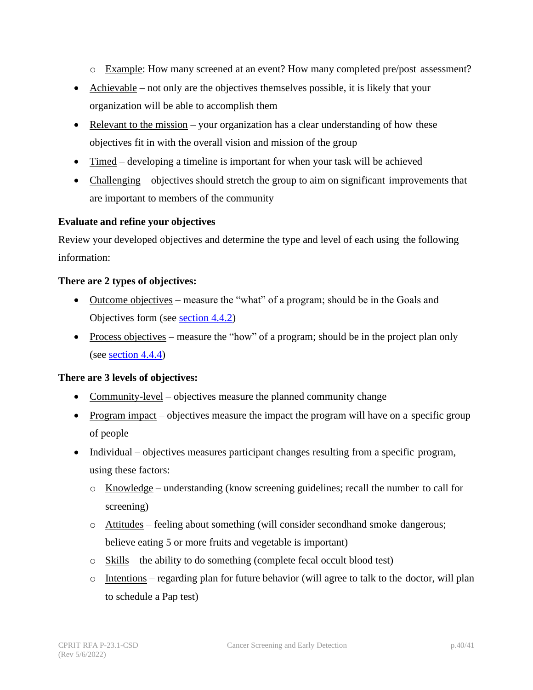- o Example: How many screened at an event? How many completed pre/post assessment?
- Achievable not only are the objectives themselves possible, it is likely that your organization will be able to accomplish them
- Relevant to the mission your organization has a clear understanding of how these objectives fit in with the overall vision and mission of the group
- Timed developing a timeline is important for when your task will be achieved
- Challenging objectives should stretch the group to aim on significant improvements that are important to members of the community

#### **Evaluate and refine your objectives**

Review your developed objectives and determine the type and level of each using the following information:

#### **There are 2 types of objectives:**

- Outcome objectives measure the "what" of a program; should be in the Goals and Objectives form (see [section 4.4.2\)](#page-18-0)
- Process objectives measure the "how" of a program; should be in the project plan only (see [section 4.4.4\)](#page-19-1)

#### **There are 3 levels of objectives:**

- Community-level objectives measure the planned community change
- Program impact objectives measure the impact the program will have on a specific group of people
- Individual objectives measures participant changes resulting from a specific program, using these factors:
	- o Knowledge understanding (know screening guidelines; recall the number to call for screening)
	- o Attitudes feeling about something (will consider secondhand smoke dangerous; believe eating 5 or more fruits and vegetable is important)
	- $\circ$  Skills the ability to do something (complete fecal occult blood test)
	- $\circ$  Intentions regarding plan for future behavior (will agree to talk to the doctor, will plan to schedule a Pap test)